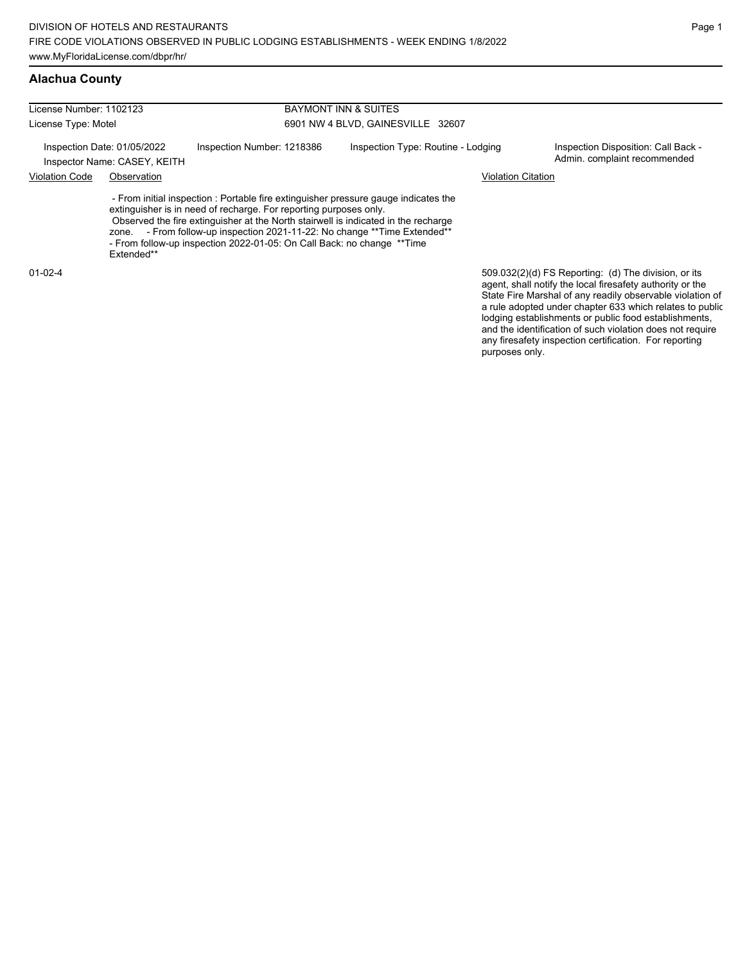| License Number: 1102123                                     |                     |                                                                                                                                                                                                                                                                                                                                                                                                   | <b>BAYMONT INN &amp; SUITES</b>    |                                                                                                                                                                                                                                                                                                     |  |  |  |
|-------------------------------------------------------------|---------------------|---------------------------------------------------------------------------------------------------------------------------------------------------------------------------------------------------------------------------------------------------------------------------------------------------------------------------------------------------------------------------------------------------|------------------------------------|-----------------------------------------------------------------------------------------------------------------------------------------------------------------------------------------------------------------------------------------------------------------------------------------------------|--|--|--|
| License Type: Motel                                         |                     |                                                                                                                                                                                                                                                                                                                                                                                                   | 6901 NW 4 BLVD, GAINESVILLE 32607  |                                                                                                                                                                                                                                                                                                     |  |  |  |
| Inspection Date: 01/05/2022<br>Inspector Name: CASEY, KEITH |                     | Inspection Number: 1218386                                                                                                                                                                                                                                                                                                                                                                        | Inspection Type: Routine - Lodging | Inspection Disposition: Call Back -<br>Admin. complaint recommended                                                                                                                                                                                                                                 |  |  |  |
| <b>Violation Code</b>                                       | Observation         |                                                                                                                                                                                                                                                                                                                                                                                                   |                                    | Violation Citation                                                                                                                                                                                                                                                                                  |  |  |  |
|                                                             | zone.<br>Extended** | - From initial inspection : Portable fire extinguisher pressure gauge indicates the<br>extinguisher is in need of recharge. For reporting purposes only.<br>Observed the fire extinguisher at the North stairwell is indicated in the recharge<br>- From follow-up inspection 2021-11-22: No change ** Time Extended**<br>- From follow-up inspection 2022-01-05: On Call Back: no change ** Time |                                    |                                                                                                                                                                                                                                                                                                     |  |  |  |
| $01 - 02 - 4$                                               |                     |                                                                                                                                                                                                                                                                                                                                                                                                   |                                    | 509.032(2)(d) FS Reporting: (d) The division, or its<br>agent, shall notify the local firesafety authority or the<br>State Fire Marshal of any readily observable violation of<br>a rule adopted under chapter 633 which relates to public<br>lodging establishments or public food establishments, |  |  |  |

and the identification of such violation does not require any firesafety inspection certification. For reporting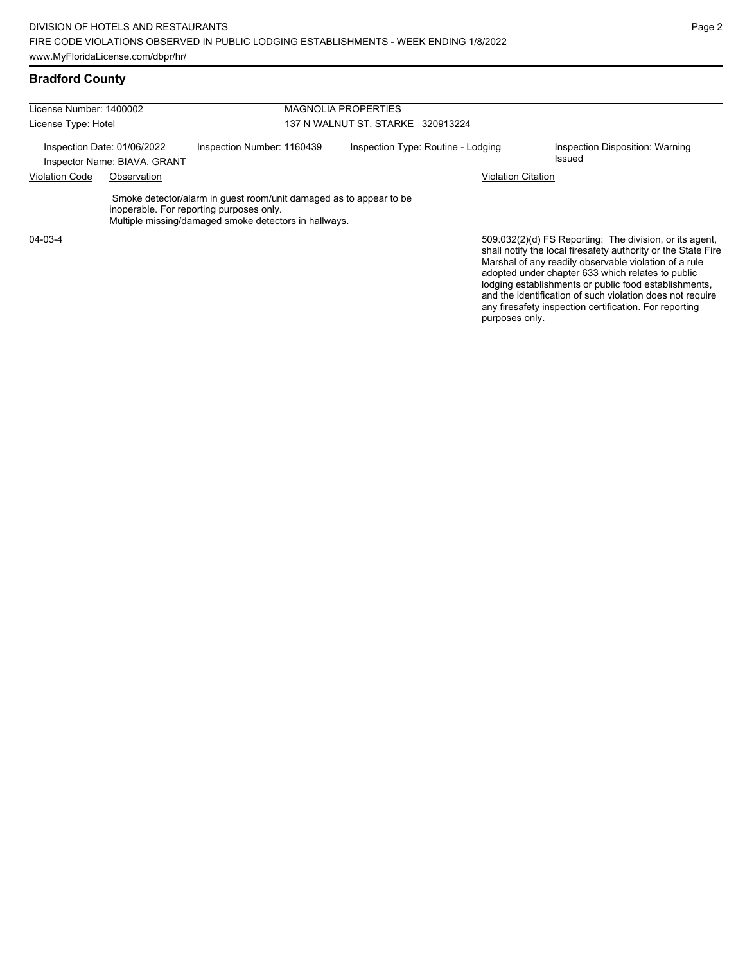## **Bradford County**

| License Number: 1400002                                     |             |                                                                                                                                                                         | <b>MAGNOLIA PROPERTIES</b>         |                           |                                                                                                                                                                                                                                                                                                 |  |  |
|-------------------------------------------------------------|-------------|-------------------------------------------------------------------------------------------------------------------------------------------------------------------------|------------------------------------|---------------------------|-------------------------------------------------------------------------------------------------------------------------------------------------------------------------------------------------------------------------------------------------------------------------------------------------|--|--|
| License Type: Hotel                                         |             |                                                                                                                                                                         | 137 N WALNUT ST, STARKE 320913224  |                           |                                                                                                                                                                                                                                                                                                 |  |  |
| Inspection Date: 01/06/2022<br>Inspector Name: BIAVA, GRANT |             | Inspection Number: 1160439                                                                                                                                              | Inspection Type: Routine - Lodging |                           | Inspection Disposition: Warning<br>Issued                                                                                                                                                                                                                                                       |  |  |
| <b>Violation Code</b>                                       | Observation |                                                                                                                                                                         |                                    | <b>Violation Citation</b> |                                                                                                                                                                                                                                                                                                 |  |  |
|                                                             |             | Smoke detector/alarm in guest room/unit damaged as to appear to be<br>inoperable. For reporting purposes only.<br>Multiple missing/damaged smoke detectors in hallways. |                                    |                           |                                                                                                                                                                                                                                                                                                 |  |  |
| 04-03-4                                                     |             |                                                                                                                                                                         |                                    |                           | 509.032(2)(d) FS Reporting: The division, or its agent,<br>shall notify the local firesafety authority or the State Fire<br>Marshal of any readily observable violation of a rule<br>adopted under chapter 633 which relates to public<br>lodging establishments or public food establishments, |  |  |

and the identification of such violation does not require any firesafety inspection certification. For reporting

purposes only.

Page 2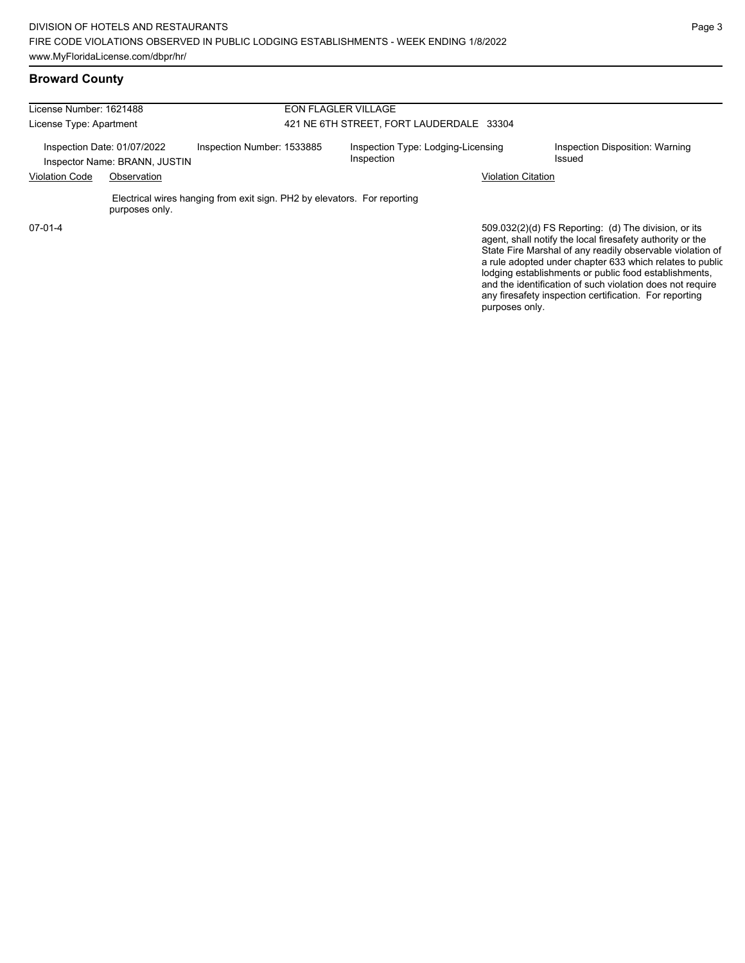#### **Broward County**

| License Number: 1621488                                                                    |                | <b>EON FLAGLER VILLAGE</b><br>421 NE 6TH STREET, FORT LAUDERDALE 33304   |                                                  |  |                                           |                                                                                                                                                                                                                                            |
|--------------------------------------------------------------------------------------------|----------------|--------------------------------------------------------------------------|--------------------------------------------------|--|-------------------------------------------|--------------------------------------------------------------------------------------------------------------------------------------------------------------------------------------------------------------------------------------------|
| License Type: Apartment                                                                    |                |                                                                          |                                                  |  |                                           |                                                                                                                                                                                                                                            |
| Inspection Number: 1533885<br>Inspection Date: 01/07/2022<br>Inspector Name: BRANN, JUSTIN |                |                                                                          | Inspection Type: Lodging-Licensing<br>Inspection |  | Inspection Disposition: Warning<br>Issued |                                                                                                                                                                                                                                            |
| <b>Violation Code</b><br>Observation                                                       |                |                                                                          |                                                  |  | <b>Violation Citation</b>                 |                                                                                                                                                                                                                                            |
|                                                                                            | purposes only. | Electrical wires hanging from exit sign. PH2 by elevators. For reporting |                                                  |  |                                           |                                                                                                                                                                                                                                            |
| $07-01-4$                                                                                  |                |                                                                          |                                                  |  |                                           | 509.032(2)(d) FS Reporting: (d) The division, or its<br>agent, shall notify the local firesafety authority or the<br>State Fire Marshal of any readily observable violation of<br>a rule adopted under chapter 633 which relates to public |

lodging establishments or public food establishments, and the identification of such violation does not require any firesafety inspection certification. For reporting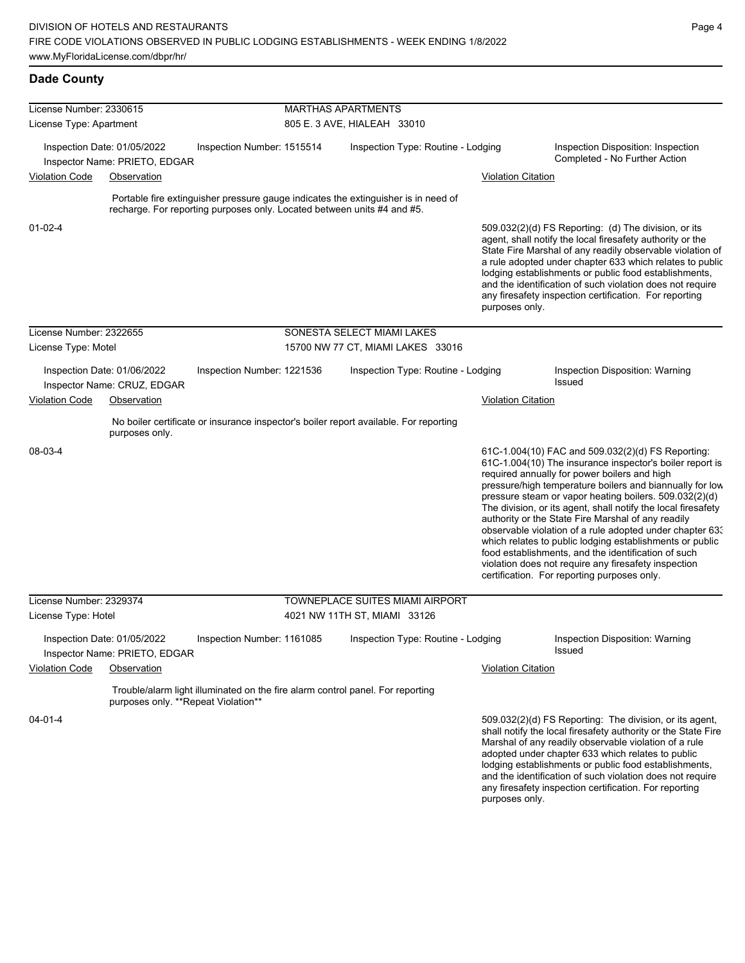| License Number: 2330615              |                                                              |                                                                         |  | <b>MARTHAS APARTMENTS</b>                                                             |                           |                                                                                                                                                                                                                                                                                                                                                                                                                                                                                                                                                                                                                                                                                                  |
|--------------------------------------|--------------------------------------------------------------|-------------------------------------------------------------------------|--|---------------------------------------------------------------------------------------|---------------------------|--------------------------------------------------------------------------------------------------------------------------------------------------------------------------------------------------------------------------------------------------------------------------------------------------------------------------------------------------------------------------------------------------------------------------------------------------------------------------------------------------------------------------------------------------------------------------------------------------------------------------------------------------------------------------------------------------|
| License Type: Apartment              |                                                              | 805 E. 3 AVE, HIALEAH 33010                                             |  |                                                                                       |                           |                                                                                                                                                                                                                                                                                                                                                                                                                                                                                                                                                                                                                                                                                                  |
|                                      | Inspection Date: 01/05/2022<br>Inspector Name: PRIETO, EDGAR | Inspection Number: 1515514                                              |  | Inspection Type: Routine - Lodging                                                    |                           | Inspection Disposition: Inspection<br>Completed - No Further Action                                                                                                                                                                                                                                                                                                                                                                                                                                                                                                                                                                                                                              |
| <b>Violation Code</b>                | Observation                                                  |                                                                         |  |                                                                                       | <b>Violation Citation</b> |                                                                                                                                                                                                                                                                                                                                                                                                                                                                                                                                                                                                                                                                                                  |
|                                      |                                                              |                                                                         |  |                                                                                       |                           |                                                                                                                                                                                                                                                                                                                                                                                                                                                                                                                                                                                                                                                                                                  |
|                                      |                                                              | recharge. For reporting purposes only. Located between units #4 and #5. |  | Portable fire extinguisher pressure gauge indicates the extinguisher is in need of    |                           |                                                                                                                                                                                                                                                                                                                                                                                                                                                                                                                                                                                                                                                                                                  |
| $01 - 02 - 4$                        |                                                              |                                                                         |  |                                                                                       | purposes only.            | 509.032(2)(d) FS Reporting (d) The division, or its<br>agent, shall notify the local firesafety authority or the<br>State Fire Marshal of any readily observable violation of<br>a rule adopted under chapter 633 which relates to public<br>lodging establishments or public food establishments,<br>and the identification of such violation does not require<br>any firesafety inspection certification. For reporting                                                                                                                                                                                                                                                                        |
| License Number: 2322655              |                                                              |                                                                         |  | SONESTA SELECT MIAMI LAKES                                                            |                           |                                                                                                                                                                                                                                                                                                                                                                                                                                                                                                                                                                                                                                                                                                  |
| License Type: Motel                  |                                                              |                                                                         |  | 15700 NW 77 CT, MIAMI LAKES 33016                                                     |                           |                                                                                                                                                                                                                                                                                                                                                                                                                                                                                                                                                                                                                                                                                                  |
|                                      | Inspection Date: 01/06/2022<br>Inspector Name: CRUZ, EDGAR   | Inspection Number: 1221536                                              |  | Inspection Type: Routine - Lodging                                                    |                           | Inspection Disposition: Warning<br><b>Issued</b>                                                                                                                                                                                                                                                                                                                                                                                                                                                                                                                                                                                                                                                 |
| <b>Violation Code</b><br>Observation |                                                              |                                                                         |  | <b>Violation Citation</b>                                                             |                           |                                                                                                                                                                                                                                                                                                                                                                                                                                                                                                                                                                                                                                                                                                  |
|                                      | purposes only.                                               |                                                                         |  | No boiler certificate or insurance inspector's boiler report available. For reporting |                           |                                                                                                                                                                                                                                                                                                                                                                                                                                                                                                                                                                                                                                                                                                  |
| 08-03-4                              |                                                              |                                                                         |  |                                                                                       |                           | 61C-1.004(10) FAC and 509.032(2)(d) FS Reporting:<br>61C-1.004(10) The insurance inspector's boiler report is<br>required annually for power boilers and high<br>pressure/high temperature boilers and biannually for low<br>pressure steam or vapor heating boilers. 509.032(2)(d)<br>The division, or its agent, shall notify the local firesafety<br>authority or the State Fire Marshal of any readily<br>observable violation of a rule adopted under chapter 63.<br>which relates to public lodging establishments or public<br>food establishments, and the identification of such<br>violation does not require any firesafety inspection<br>certification. For reporting purposes only. |
| License Number: 2329374              |                                                              |                                                                         |  | TOWNEPLACE SUITES MIAMI AIRPORT                                                       |                           |                                                                                                                                                                                                                                                                                                                                                                                                                                                                                                                                                                                                                                                                                                  |
| License Type: Hotel                  |                                                              |                                                                         |  | 4021 NW 11TH ST, MIAMI 33126                                                          |                           |                                                                                                                                                                                                                                                                                                                                                                                                                                                                                                                                                                                                                                                                                                  |
|                                      | Inspection Date: 01/05/2022<br>Inspector Name: PRIETO, EDGAR | Inspection Number: 1161085                                              |  | Inspection Type: Routine - Lodging                                                    |                           | Inspection Disposition: Warning<br>Issued                                                                                                                                                                                                                                                                                                                                                                                                                                                                                                                                                                                                                                                        |
| Violation Code                       | Observation                                                  |                                                                         |  |                                                                                       | <b>Violation Citation</b> |                                                                                                                                                                                                                                                                                                                                                                                                                                                                                                                                                                                                                                                                                                  |
|                                      | purposes only. **Repeat Violation**                          |                                                                         |  | Trouble/alarm light illuminated on the fire alarm control panel. For reporting        |                           |                                                                                                                                                                                                                                                                                                                                                                                                                                                                                                                                                                                                                                                                                                  |
| 04-01-4                              |                                                              |                                                                         |  |                                                                                       | purposes only.            | 509.032(2)(d) FS Reporting: The division, or its agent,<br>shall notify the local firesafety authority or the State Fire<br>Marshal of any readily observable violation of a rule<br>adopted under chapter 633 which relates to public<br>lodging establishments or public food establishments,<br>and the identification of such violation does not require<br>any firesafety inspection certification. For reporting                                                                                                                                                                                                                                                                           |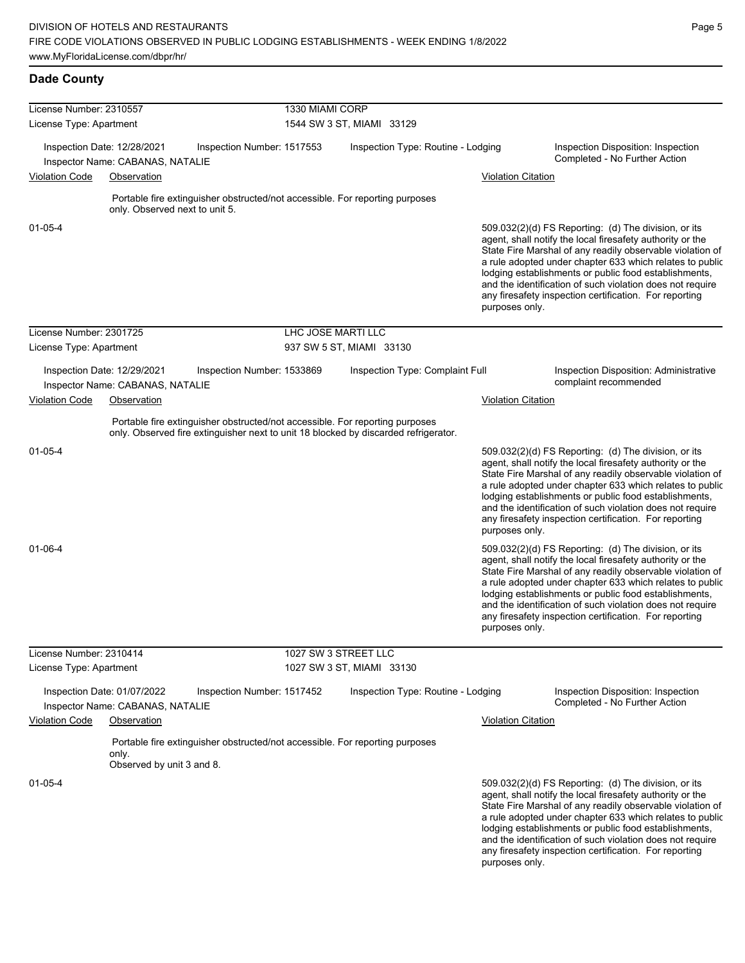| License Number: 2310557 |                                                                 |                                                                              | 1330 MIAMI CORP           |                                                                                     |                           |                                                                                                                                                                                                                                                                                                                                                                                                                            |  |  |
|-------------------------|-----------------------------------------------------------------|------------------------------------------------------------------------------|---------------------------|-------------------------------------------------------------------------------------|---------------------------|----------------------------------------------------------------------------------------------------------------------------------------------------------------------------------------------------------------------------------------------------------------------------------------------------------------------------------------------------------------------------------------------------------------------------|--|--|
| License Type: Apartment |                                                                 |                                                                              | 1544 SW 3 ST, MIAMI 33129 |                                                                                     |                           |                                                                                                                                                                                                                                                                                                                                                                                                                            |  |  |
|                         | Inspection Date: 12/28/2021<br>Inspector Name: CABANAS, NATALIE | Inspection Number: 1517553                                                   |                           | Inspection Type: Routine - Lodging                                                  |                           | Inspection Disposition: Inspection<br>Completed - No Further Action                                                                                                                                                                                                                                                                                                                                                        |  |  |
| Violation Code          | Observation                                                     |                                                                              |                           |                                                                                     | <b>Violation Citation</b> |                                                                                                                                                                                                                                                                                                                                                                                                                            |  |  |
|                         | only. Observed next to unit 5.                                  | Portable fire extinguisher obstructed/not accessible. For reporting purposes |                           |                                                                                     |                           |                                                                                                                                                                                                                                                                                                                                                                                                                            |  |  |
| 01-05-4                 |                                                                 |                                                                              |                           |                                                                                     | purposes only.            | 509.032(2)(d) FS Reporting: (d) The division, or its<br>agent, shall notify the local firesafety authority or the<br>State Fire Marshal of any readily observable violation of<br>a rule adopted under chapter 633 which relates to public<br>lodging establishments or public food establishments,<br>and the identification of such violation does not require<br>any firesafety inspection certification. For reporting |  |  |
| License Number: 2301725 |                                                                 |                                                                              | LHC JOSE MARTI LLC        |                                                                                     |                           |                                                                                                                                                                                                                                                                                                                                                                                                                            |  |  |
| License Type: Apartment |                                                                 |                                                                              |                           | 937 SW 5 ST, MIAMI 33130                                                            |                           |                                                                                                                                                                                                                                                                                                                                                                                                                            |  |  |
|                         | Inspection Date: 12/29/2021<br>Inspector Name: CABANAS, NATALIE | Inspection Number: 1533869                                                   |                           | Inspection Type: Complaint Full                                                     |                           | Inspection Disposition: Administrative<br>complaint recommended                                                                                                                                                                                                                                                                                                                                                            |  |  |
| <b>Violation Code</b>   | Observation                                                     |                                                                              |                           |                                                                                     | Violation Citation        |                                                                                                                                                                                                                                                                                                                                                                                                                            |  |  |
|                         |                                                                 | Portable fire extinguisher obstructed/not accessible. For reporting purposes |                           | only. Observed fire extinguisher next to unit 18 blocked by discarded refrigerator. |                           |                                                                                                                                                                                                                                                                                                                                                                                                                            |  |  |
| 01-05-4                 |                                                                 |                                                                              |                           |                                                                                     | purposes only.            | 509.032(2)(d) FS Reporting: (d) The division, or its<br>agent, shall notify the local firesafety authority or the<br>State Fire Marshal of any readily observable violation of<br>a rule adopted under chapter 633 which relates to public<br>lodging establishments or public food establishments,<br>and the identification of such violation does not require<br>any firesafety inspection certification. For reporting |  |  |
| 01-06-4                 |                                                                 |                                                                              |                           |                                                                                     | purposes only.            | 509.032(2)(d) FS Reporting: (d) The division, or its<br>agent, shall notify the local firesafety authority or the<br>State Fire Marshal of any readily observable violation of<br>a rule adopted under chapter 633 which relates to public<br>lodging establishments or public food establishments,<br>and the identification of such violation does not require<br>any firesafety inspection certification. For reporting |  |  |
| License Number: 2310414 |                                                                 |                                                                              |                           | 1027 SW 3 STREET LLC                                                                |                           |                                                                                                                                                                                                                                                                                                                                                                                                                            |  |  |
| License Type: Apartment |                                                                 |                                                                              |                           | 1027 SW 3 ST, MIAMI 33130                                                           |                           |                                                                                                                                                                                                                                                                                                                                                                                                                            |  |  |
|                         | Inspection Date: 01/07/2022<br>Inspector Name: CABANAS, NATALIE | Inspection Number: 1517452                                                   |                           | Inspection Type: Routine - Lodging                                                  |                           | Inspection Disposition: Inspection<br>Completed - No Further Action                                                                                                                                                                                                                                                                                                                                                        |  |  |
| <b>Violation Code</b>   | Observation                                                     |                                                                              |                           |                                                                                     | <b>Violation Citation</b> |                                                                                                                                                                                                                                                                                                                                                                                                                            |  |  |
|                         | only.                                                           | Portable fire extinguisher obstructed/not accessible. For reporting purposes |                           |                                                                                     |                           |                                                                                                                                                                                                                                                                                                                                                                                                                            |  |  |
| 01-05-4                 | Observed by unit 3 and 8.                                       |                                                                              |                           |                                                                                     | purposes only.            | 509.032(2)(d) FS Reporting: (d) The division, or its<br>agent, shall notify the local firesafety authority or the<br>State Fire Marshal of any readily observable violation of<br>a rule adopted under chapter 633 which relates to public<br>lodging establishments or public food establishments,<br>and the identification of such violation does not require<br>any firesafety inspection certification. For reporting |  |  |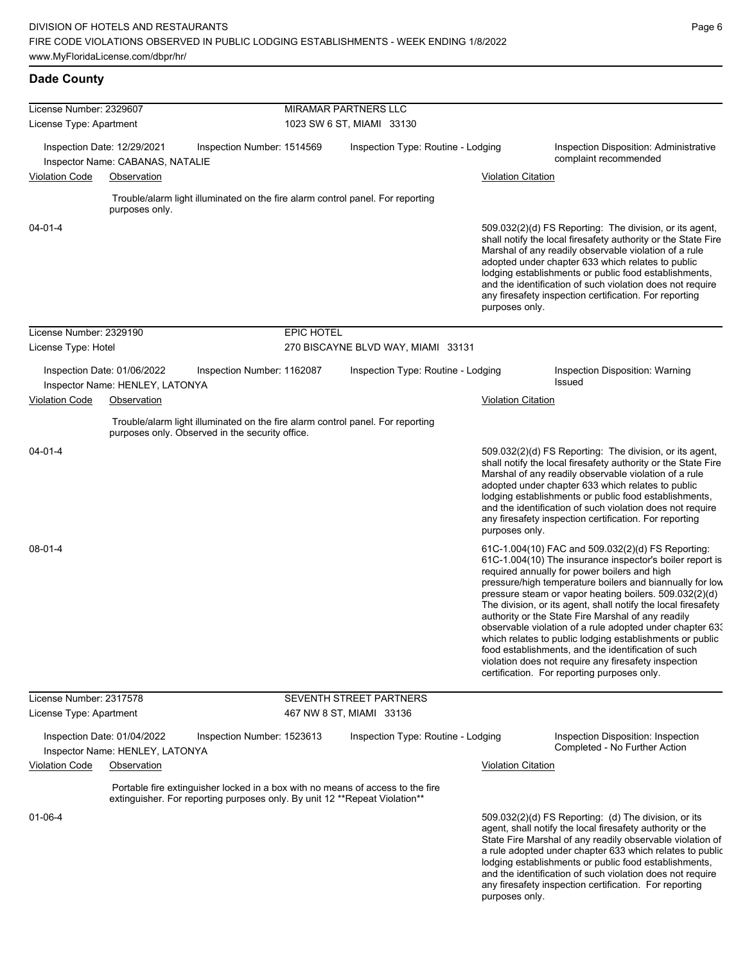| License Number: 2329607 |                                                                 |                                                                                                                                   | MIRAMAR PARTNERS LLC      |                                                                                |                           |                                                                                                                                                                                                                                                                                                                                                                                                                                                                                                                                                                                                                                                                                                  |  |  |
|-------------------------|-----------------------------------------------------------------|-----------------------------------------------------------------------------------------------------------------------------------|---------------------------|--------------------------------------------------------------------------------|---------------------------|--------------------------------------------------------------------------------------------------------------------------------------------------------------------------------------------------------------------------------------------------------------------------------------------------------------------------------------------------------------------------------------------------------------------------------------------------------------------------------------------------------------------------------------------------------------------------------------------------------------------------------------------------------------------------------------------------|--|--|
| License Type: Apartment |                                                                 |                                                                                                                                   | 1023 SW 6 ST, MIAMI 33130 |                                                                                |                           |                                                                                                                                                                                                                                                                                                                                                                                                                                                                                                                                                                                                                                                                                                  |  |  |
|                         |                                                                 |                                                                                                                                   |                           |                                                                                |                           |                                                                                                                                                                                                                                                                                                                                                                                                                                                                                                                                                                                                                                                                                                  |  |  |
|                         | Inspection Date: 12/29/2021<br>Inspector Name: CABANAS, NATALIE | Inspection Number: 1514569                                                                                                        |                           | Inspection Type: Routine - Lodging                                             |                           | Inspection Disposition: Administrative<br>complaint recommended                                                                                                                                                                                                                                                                                                                                                                                                                                                                                                                                                                                                                                  |  |  |
| <b>Violation Code</b>   | Observation                                                     |                                                                                                                                   |                           |                                                                                | Violation Citation        |                                                                                                                                                                                                                                                                                                                                                                                                                                                                                                                                                                                                                                                                                                  |  |  |
|                         | purposes only.                                                  | Trouble/alarm light illuminated on the fire alarm control panel. For reporting                                                    |                           |                                                                                |                           |                                                                                                                                                                                                                                                                                                                                                                                                                                                                                                                                                                                                                                                                                                  |  |  |
| $04 - 01 - 4$           |                                                                 |                                                                                                                                   |                           |                                                                                | purposes only.            | 509.032(2)(d) FS Reporting: The division, or its agent,<br>shall notify the local firesafety authority or the State Fire<br>Marshal of any readily observable violation of a rule<br>adopted under chapter 633 which relates to public<br>lodging establishments or public food establishments,<br>and the identification of such violation does not require<br>any firesafety inspection certification. For reporting                                                                                                                                                                                                                                                                           |  |  |
| License Number: 2329190 |                                                                 |                                                                                                                                   | <b>EPIC HOTEL</b>         |                                                                                |                           |                                                                                                                                                                                                                                                                                                                                                                                                                                                                                                                                                                                                                                                                                                  |  |  |
| License Type: Hotel     |                                                                 |                                                                                                                                   |                           | 270 BISCAYNE BLVD WAY, MIAMI 33131                                             |                           |                                                                                                                                                                                                                                                                                                                                                                                                                                                                                                                                                                                                                                                                                                  |  |  |
|                         | Inspection Date: 01/06/2022                                     | Inspection Number: 1162087                                                                                                        |                           | Inspection Type: Routine - Lodging                                             |                           | Inspection Disposition: Warning                                                                                                                                                                                                                                                                                                                                                                                                                                                                                                                                                                                                                                                                  |  |  |
|                         | Inspector Name: HENLEY, LATONYA                                 |                                                                                                                                   |                           |                                                                                |                           | Issued                                                                                                                                                                                                                                                                                                                                                                                                                                                                                                                                                                                                                                                                                           |  |  |
| Violation Code          | Observation                                                     |                                                                                                                                   |                           |                                                                                | <b>Violation Citation</b> |                                                                                                                                                                                                                                                                                                                                                                                                                                                                                                                                                                                                                                                                                                  |  |  |
|                         |                                                                 | Trouble/alarm light illuminated on the fire alarm control panel. For reporting<br>purposes only. Observed in the security office. |                           |                                                                                |                           |                                                                                                                                                                                                                                                                                                                                                                                                                                                                                                                                                                                                                                                                                                  |  |  |
| $04 - 01 - 4$           |                                                                 |                                                                                                                                   |                           |                                                                                | purposes only.            | 509.032(2)(d) FS Reporting: The division, or its agent,<br>shall notify the local firesafety authority or the State Fire<br>Marshal of any readily observable violation of a rule<br>adopted under chapter 633 which relates to public<br>lodging establishments or public food establishments,<br>and the identification of such violation does not require<br>any firesafety inspection certification. For reporting                                                                                                                                                                                                                                                                           |  |  |
| 08-01-4                 |                                                                 |                                                                                                                                   |                           |                                                                                |                           | 61C-1.004(10) FAC and 509.032(2)(d) FS Reporting:<br>61C-1.004(10) The insurance inspector's boiler report is<br>required annually for power boilers and high<br>pressure/high temperature boilers and biannually for low<br>pressure steam or vapor heating boilers. 509.032(2)(d)<br>The division, or its agent, shall notify the local firesafety<br>authority or the State Fire Marshal of any readily<br>observable violation of a rule adopted under chapter 63.<br>which relates to public lodging establishments or public<br>food establishments, and the identification of such<br>violation does not require any firesafety inspection<br>certification. For reporting purposes only. |  |  |
| License Number: 2317578 |                                                                 |                                                                                                                                   |                           | SEVENTH STREET PARTNERS                                                        |                           |                                                                                                                                                                                                                                                                                                                                                                                                                                                                                                                                                                                                                                                                                                  |  |  |
| License Type: Apartment |                                                                 |                                                                                                                                   |                           | 467 NW 8 ST, MIAMI 33136                                                       |                           |                                                                                                                                                                                                                                                                                                                                                                                                                                                                                                                                                                                                                                                                                                  |  |  |
|                         | Inspection Date: 01/04/2022                                     | Inspection Number: 1523613                                                                                                        |                           | Inspection Type: Routine - Lodging                                             |                           | Inspection Disposition: Inspection<br>Completed - No Further Action                                                                                                                                                                                                                                                                                                                                                                                                                                                                                                                                                                                                                              |  |  |
| <b>Violation Code</b>   | Inspector Name: HENLEY, LATONYA<br>Observation                  |                                                                                                                                   |                           |                                                                                | <b>Violation Citation</b> |                                                                                                                                                                                                                                                                                                                                                                                                                                                                                                                                                                                                                                                                                                  |  |  |
|                         |                                                                 | extinguisher. For reporting purposes only. By unit 12 ** Repeat Violation**                                                       |                           | Portable fire extinguisher locked in a box with no means of access to the fire |                           |                                                                                                                                                                                                                                                                                                                                                                                                                                                                                                                                                                                                                                                                                                  |  |  |
| 01-06-4                 |                                                                 |                                                                                                                                   |                           |                                                                                | purposes only.            | 509.032(2)(d) FS Reporting: (d) The division, or its<br>agent, shall notify the local firesafety authority or the<br>State Fire Marshal of any readily observable violation of<br>a rule adopted under chapter 633 which relates to public<br>lodging establishments or public food establishments,<br>and the identification of such violation does not require<br>any firesafety inspection certification. For reporting                                                                                                                                                                                                                                                                       |  |  |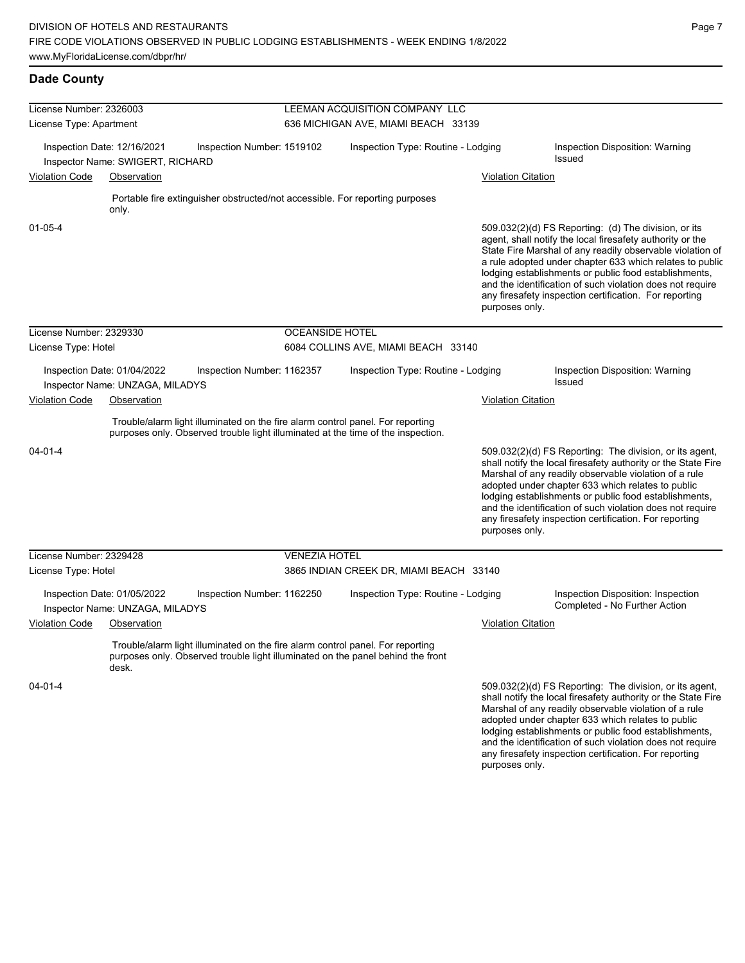| License Number: 2326003 |                                                                 |                                                                                                                                                                    | LEEMAN ACQUISITION COMPANY LLC      |                                         |                           |                                                                                                                                                                                                                                                                                                                                                                                                                            |  |
|-------------------------|-----------------------------------------------------------------|--------------------------------------------------------------------------------------------------------------------------------------------------------------------|-------------------------------------|-----------------------------------------|---------------------------|----------------------------------------------------------------------------------------------------------------------------------------------------------------------------------------------------------------------------------------------------------------------------------------------------------------------------------------------------------------------------------------------------------------------------|--|
| License Type: Apartment |                                                                 |                                                                                                                                                                    | 636 MICHIGAN AVE, MIAMI BEACH 33139 |                                         |                           |                                                                                                                                                                                                                                                                                                                                                                                                                            |  |
|                         | Inspection Date: 12/16/2021<br>Inspector Name: SWIGERT, RICHARD | Inspection Number: 1519102                                                                                                                                         |                                     | Inspection Type: Routine - Lodging      |                           | Inspection Disposition: Warning<br>Issued                                                                                                                                                                                                                                                                                                                                                                                  |  |
| <b>Violation Code</b>   | Observation                                                     |                                                                                                                                                                    |                                     |                                         | <b>Violation Citation</b> |                                                                                                                                                                                                                                                                                                                                                                                                                            |  |
|                         | only.                                                           | Portable fire extinguisher obstructed/not accessible. For reporting purposes                                                                                       |                                     |                                         |                           |                                                                                                                                                                                                                                                                                                                                                                                                                            |  |
| $01 - 05 - 4$           |                                                                 |                                                                                                                                                                    |                                     |                                         | purposes only.            | 509.032(2)(d) FS Reporting: (d) The division, or its<br>agent, shall notify the local firesafety authority or the<br>State Fire Marshal of any readily observable violation of<br>a rule adopted under chapter 633 which relates to public<br>lodging establishments or public food establishments,<br>and the identification of such violation does not require<br>any firesafety inspection certification. For reporting |  |
| License Number: 2329330 |                                                                 |                                                                                                                                                                    | <b>OCEANSIDE HOTEL</b>              |                                         |                           |                                                                                                                                                                                                                                                                                                                                                                                                                            |  |
| License Type: Hotel     |                                                                 |                                                                                                                                                                    |                                     | 6084 COLLINS AVE, MIAMI BEACH 33140     |                           |                                                                                                                                                                                                                                                                                                                                                                                                                            |  |
|                         | Inspection Date: 01/04/2022<br>Inspector Name: UNZAGA, MILADYS  | Inspection Number: 1162357                                                                                                                                         |                                     | Inspection Type: Routine - Lodging      |                           | Inspection Disposition: Warning<br>Issued                                                                                                                                                                                                                                                                                                                                                                                  |  |
| <b>Violation Code</b>   | Observation                                                     |                                                                                                                                                                    |                                     |                                         | <b>Violation Citation</b> |                                                                                                                                                                                                                                                                                                                                                                                                                            |  |
|                         |                                                                 | Trouble/alarm light illuminated on the fire alarm control panel. For reporting<br>purposes only. Observed trouble light illuminated at the time of the inspection. |                                     |                                         |                           |                                                                                                                                                                                                                                                                                                                                                                                                                            |  |
| $04 - 01 - 4$           |                                                                 |                                                                                                                                                                    |                                     |                                         | purposes only.            | 509.032(2)(d) FS Reporting: The division, or its agent,<br>shall notify the local firesafety authority or the State Fire<br>Marshal of any readily observable violation of a rule<br>adopted under chapter 633 which relates to public<br>lodging establishments or public food establishments,<br>and the identification of such violation does not require<br>any firesafety inspection certification. For reporting     |  |
| License Number: 2329428 |                                                                 |                                                                                                                                                                    | <b>VENEZIA HOTEL</b>                |                                         |                           |                                                                                                                                                                                                                                                                                                                                                                                                                            |  |
| License Type: Hotel     |                                                                 |                                                                                                                                                                    |                                     | 3865 INDIAN CREEK DR, MIAMI BEACH 33140 |                           |                                                                                                                                                                                                                                                                                                                                                                                                                            |  |
|                         | Inspection Date: 01/05/2022<br>Inspector Name: UNZAGA, MILADYS  | Inspection Number: 1162250                                                                                                                                         |                                     | Inspection Type: Routine - Lodging      |                           | Inspection Disposition: Inspection<br>Completed - No Further Action                                                                                                                                                                                                                                                                                                                                                        |  |
| <b>Violation Code</b>   | Observation                                                     |                                                                                                                                                                    |                                     |                                         | <b>Violation Citation</b> |                                                                                                                                                                                                                                                                                                                                                                                                                            |  |
|                         | desk.                                                           | Trouble/alarm light illuminated on the fire alarm control panel. For reporting<br>purposes only. Observed trouble light illuminated on the panel behind the front  |                                     |                                         |                           |                                                                                                                                                                                                                                                                                                                                                                                                                            |  |
| $04 - 01 - 4$           |                                                                 |                                                                                                                                                                    |                                     |                                         |                           | 509.032(2)(d) FS Reporting: The division, or its agent,<br>shall notify the local firesafety authority or the State Fire<br>Marshal of any readily observable violation of a rule                                                                                                                                                                                                                                          |  |

Marshal of any readily observable violation of a rule adopted under chapter 633 which relates to public lodging establishments or public food establishments, and the identification of such violation does not require any firesafety inspection certification. For reporting purposes only.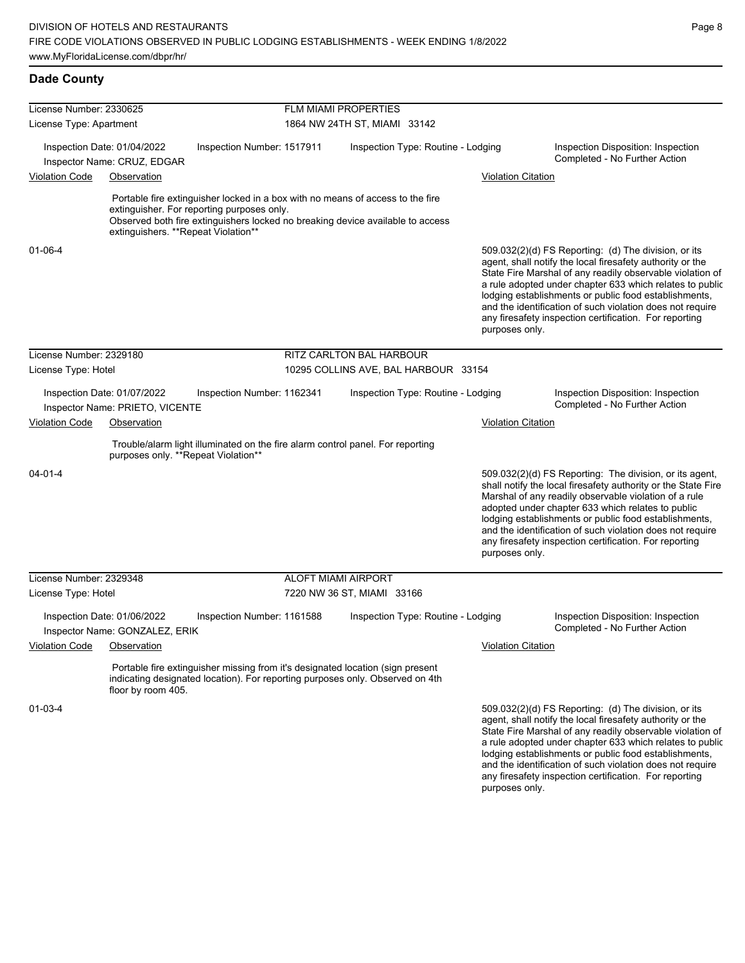| License Number: 2330625     |                                                                |                                            | <b>FLM MIAMI PROPERTIES</b>                                                                                                                                      |                           |                                                                                                                                                                                                                                                                                                                                                                                                                            |
|-----------------------------|----------------------------------------------------------------|--------------------------------------------|------------------------------------------------------------------------------------------------------------------------------------------------------------------|---------------------------|----------------------------------------------------------------------------------------------------------------------------------------------------------------------------------------------------------------------------------------------------------------------------------------------------------------------------------------------------------------------------------------------------------------------------|
| License Type: Apartment     |                                                                |                                            | 1864 NW 24TH ST, MIAMI 33142                                                                                                                                     |                           |                                                                                                                                                                                                                                                                                                                                                                                                                            |
|                             | Inspection Date: 01/04/2022<br>Inspector Name: CRUZ, EDGAR     | Inspection Number: 1517911                 | Inspection Type: Routine - Lodging                                                                                                                               |                           | Inspection Disposition: Inspection<br>Completed - No Further Action                                                                                                                                                                                                                                                                                                                                                        |
| <b>Violation Code</b>       | Observation                                                    |                                            |                                                                                                                                                                  | <b>Violation Citation</b> |                                                                                                                                                                                                                                                                                                                                                                                                                            |
|                             | extinguishers. **Repeat Violation**                            | extinguisher. For reporting purposes only. | Portable fire extinguisher locked in a box with no means of access to the fire<br>Observed both fire extinguishers locked no breaking device available to access |                           |                                                                                                                                                                                                                                                                                                                                                                                                                            |
| 01-06-4                     |                                                                |                                            |                                                                                                                                                                  | purposes only.            | 509.032(2)(d) FS Reporting: (d) The division, or its<br>agent, shall notify the local firesafety authority or the<br>State Fire Marshal of any readily observable violation of<br>a rule adopted under chapter 633 which relates to public<br>lodging establishments or public food establishments,<br>and the identification of such violation does not require<br>any firesafety inspection certification. For reporting |
| License Number: 2329180     |                                                                |                                            | <b>RITZ CARLTON BAL HARBOUR</b>                                                                                                                                  |                           |                                                                                                                                                                                                                                                                                                                                                                                                                            |
| License Type: Hotel         |                                                                |                                            | 10295 COLLINS AVE, BAL HARBOUR 33154                                                                                                                             |                           |                                                                                                                                                                                                                                                                                                                                                                                                                            |
|                             | Inspection Date: 01/07/2022<br>Inspector Name: PRIETO, VICENTE | Inspection Number: 1162341                 | Inspection Type: Routine - Lodging                                                                                                                               |                           | Inspection Disposition: Inspection<br>Completed - No Further Action                                                                                                                                                                                                                                                                                                                                                        |
| Violation Code              | Observation                                                    |                                            |                                                                                                                                                                  | Violation Citation        |                                                                                                                                                                                                                                                                                                                                                                                                                            |
|                             | purposes only. **Repeat Violation**                            |                                            | Trouble/alarm light illuminated on the fire alarm control panel. For reporting                                                                                   |                           |                                                                                                                                                                                                                                                                                                                                                                                                                            |
| $04 - 01 - 4$               |                                                                |                                            |                                                                                                                                                                  | purposes only.            | 509.032(2)(d) FS Reporting: The division, or its agent,<br>shall notify the local firesafety authority or the State Fire<br>Marshal of any readily observable violation of a rule<br>adopted under chapter 633 which relates to public<br>lodging establishments or public food establishments,<br>and the identification of such violation does not require<br>any firesafety inspection certification. For reporting     |
| License Number: 2329348     |                                                                |                                            | <b>ALOFT MIAMI AIRPORT</b>                                                                                                                                       |                           |                                                                                                                                                                                                                                                                                                                                                                                                                            |
| License Type: Hotel         |                                                                |                                            | 7220 NW 36 ST, MIAMI 33166                                                                                                                                       |                           |                                                                                                                                                                                                                                                                                                                                                                                                                            |
|                             | Inspection Date: 01/06/2022<br>Inspector Name: GONZALEZ, ERIK  | Inspection Number: 1161588                 | Inspection Type: Routine - Lodging                                                                                                                               |                           | Inspection Disposition: Inspection<br>Completed - No Further Action                                                                                                                                                                                                                                                                                                                                                        |
| Violation Code  Observation |                                                                |                                            |                                                                                                                                                                  | <b>Violation Citation</b> |                                                                                                                                                                                                                                                                                                                                                                                                                            |
|                             | floor by room 405.                                             |                                            | Portable fire extinguisher missing from it's designated location (sign present<br>indicating designated location). For reporting purposes only. Observed on 4th  |                           |                                                                                                                                                                                                                                                                                                                                                                                                                            |
| $01 - 03 - 4$               |                                                                |                                            |                                                                                                                                                                  |                           | 509.032(2)(d) FS Reporting: (d) The division, or its<br>agent, shall notify the local firesafety authority or the<br>State Fire Marshal of any readily observable violation of<br>a rule adopted under chapter 633 which relates to public<br>lodging establishments or public food establishments,                                                                                                                        |

and the identification of such violation does not require any firesafety inspection certification. For reporting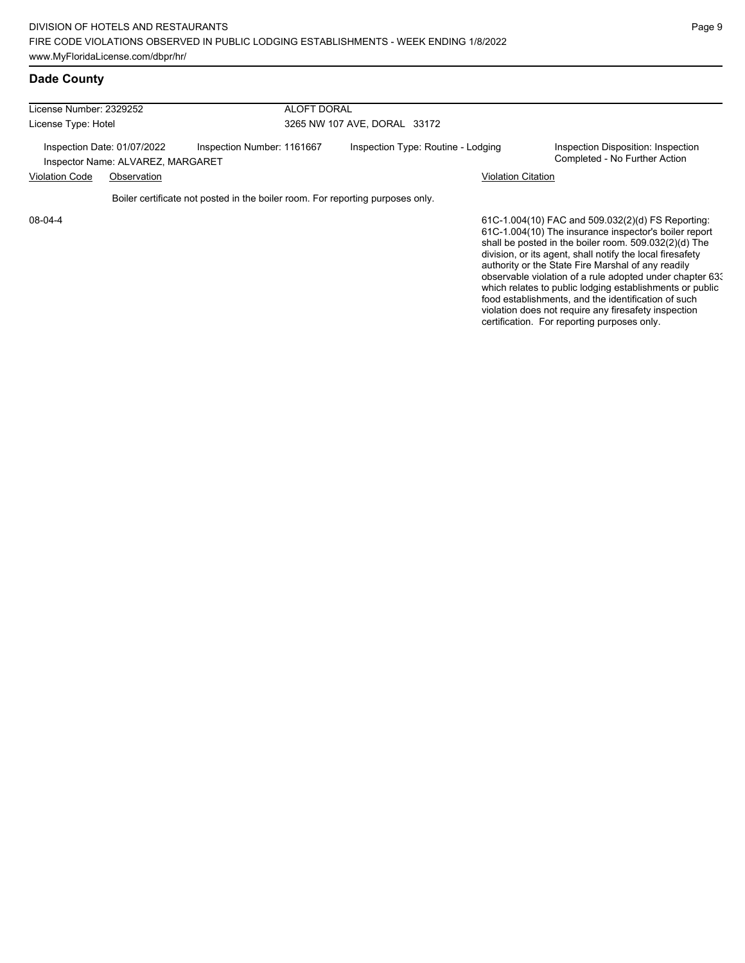| License Number: 2329252<br>License Type: Hotel                   |  | <b>ALOFT DORAL</b>                                                             |                                                                                                           |                                                                                                                                                                                                                                                                                                                                                    |  |  |  |
|------------------------------------------------------------------|--|--------------------------------------------------------------------------------|-----------------------------------------------------------------------------------------------------------|----------------------------------------------------------------------------------------------------------------------------------------------------------------------------------------------------------------------------------------------------------------------------------------------------------------------------------------------------|--|--|--|
|                                                                  |  |                                                                                | 3265 NW 107 AVE, DORAL 33172                                                                              |                                                                                                                                                                                                                                                                                                                                                    |  |  |  |
| Inspection Date: 01/07/2022<br>Inspector Name: ALVAREZ, MARGARET |  | Inspection Number: 1161667                                                     | Inspection Type: Routine - Lodging<br>Inspection Disposition: Inspection<br>Completed - No Further Action |                                                                                                                                                                                                                                                                                                                                                    |  |  |  |
| <b>Violation Code</b><br>Observation                             |  |                                                                                | <b>Violation Citation</b>                                                                                 |                                                                                                                                                                                                                                                                                                                                                    |  |  |  |
|                                                                  |  | Boiler certificate not posted in the boiler room. For reporting purposes only. |                                                                                                           |                                                                                                                                                                                                                                                                                                                                                    |  |  |  |
| 08-04-4                                                          |  |                                                                                |                                                                                                           | 61C-1.004(10) FAC and 509.032(2)(d) FS Reporting:<br>61C-1.004(10) The insurance inspector's boiler report<br>shall be posted in the boiler room. 509.032(2)(d) The<br>division, or its agent, shall notify the local firesafety<br>authority or the State Fire Marshal of any readily<br>observable violation of a rule adopted under chapter 633 |  |  |  |

which relates to public lodging establishments or public food establishments, and the identification of such violation does not require any firesafety inspection certification. For reporting purposes only.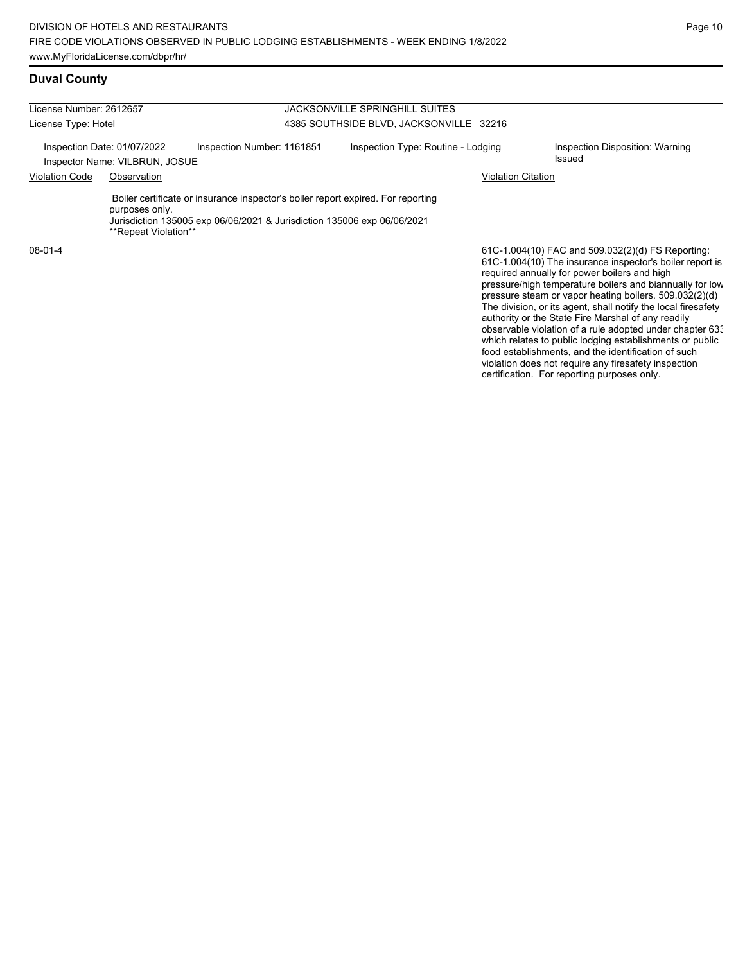food establishments, and the identification of such violation does not require any firesafety inspection certification. For reporting purposes only.

## **Duval County**

| License Number: 2612657                                       |                                        |                                                                                                                                                             | <b>JACKSONVILLE SPRINGHILL SUITES</b>   |                                                                                                                                                                                                                                                                                                                                                                                                                                                                                                                                    |  |  |  |  |
|---------------------------------------------------------------|----------------------------------------|-------------------------------------------------------------------------------------------------------------------------------------------------------------|-----------------------------------------|------------------------------------------------------------------------------------------------------------------------------------------------------------------------------------------------------------------------------------------------------------------------------------------------------------------------------------------------------------------------------------------------------------------------------------------------------------------------------------------------------------------------------------|--|--|--|--|
| License Type: Hotel                                           |                                        |                                                                                                                                                             | 4385 SOUTHSIDE BLVD, JACKSONVILLE 32216 |                                                                                                                                                                                                                                                                                                                                                                                                                                                                                                                                    |  |  |  |  |
| Inspection Date: 01/07/2022<br>Inspector Name: VILBRUN, JOSUE |                                        | Inspection Number: 1161851                                                                                                                                  | Inspection Type: Routine - Lodging      | Inspection Disposition: Warning<br><b>Issued</b>                                                                                                                                                                                                                                                                                                                                                                                                                                                                                   |  |  |  |  |
| <b>Violation Code</b>                                         | Observation                            |                                                                                                                                                             |                                         | Violation Citation                                                                                                                                                                                                                                                                                                                                                                                                                                                                                                                 |  |  |  |  |
|                                                               | purposes only.<br>**Repeat Violation** | Boiler certificate or insurance inspector's boiler report expired. For reporting<br>Jurisdiction 135005 exp 06/06/2021 & Jurisdiction 135006 exp 06/06/2021 |                                         |                                                                                                                                                                                                                                                                                                                                                                                                                                                                                                                                    |  |  |  |  |
| $08-01-4$                                                     |                                        |                                                                                                                                                             |                                         | 61C-1.004(10) FAC and 509.032(2)(d) FS Reporting:<br>61C-1.004(10) The insurance inspector's boiler report is<br>required annually for power boilers and high<br>pressure/high temperature boilers and biannually for low<br>pressure steam or vapor heating boilers. 509.032(2)(d)<br>The division, or its agent, shall notify the local firesafety<br>authority or the State Fire Marshal of any readily<br>observable violation of a rule adopted under chapter 63.<br>which relates to public lodging establishments or public |  |  |  |  |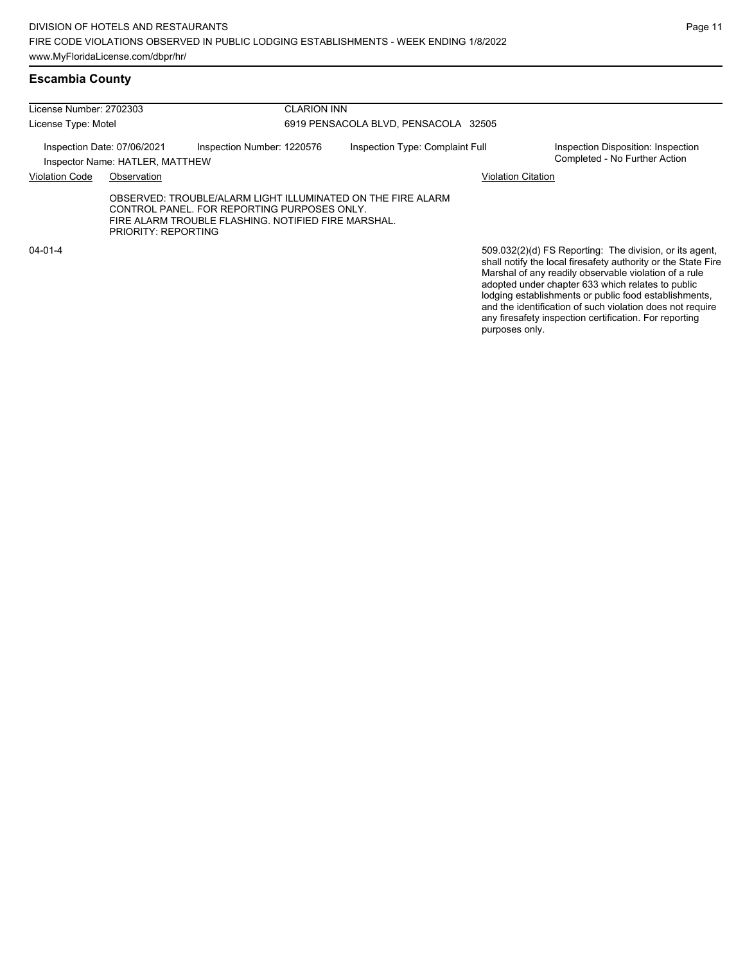## **Escambia County**

| License Number: 2702303                                        |                     |                                                                                                                                                                   | <b>CLARION INN</b><br>6919 PENSACOLA BLVD, PENSACOLA 32505 |                                                                                                                                                                                   |  |  |  |
|----------------------------------------------------------------|---------------------|-------------------------------------------------------------------------------------------------------------------------------------------------------------------|------------------------------------------------------------|-----------------------------------------------------------------------------------------------------------------------------------------------------------------------------------|--|--|--|
| License Type: Motel                                            |                     |                                                                                                                                                                   |                                                            |                                                                                                                                                                                   |  |  |  |
| Inspection Date: 07/06/2021<br>Inspector Name: HATLER, MATTHEW |                     | Inspection Number: 1220576                                                                                                                                        | Inspection Type: Complaint Full                            | Inspection Disposition: Inspection<br>Completed - No Further Action                                                                                                               |  |  |  |
| <b>Violation Code</b><br>Observation                           |                     |                                                                                                                                                                   |                                                            | <b>Violation Citation</b>                                                                                                                                                         |  |  |  |
|                                                                | PRIORITY: REPORTING | OBSERVED: TROUBLE/ALARM LIGHT ILLUMINATED ON THE FIRE ALARM<br>CONTROL PANEL, FOR REPORTING PURPOSES ONLY.<br>FIRE ALARM TROUBLE FLASHING, NOTIFIED FIRE MARSHAL. |                                                            |                                                                                                                                                                                   |  |  |  |
| $04 - 01 - 4$                                                  |                     |                                                                                                                                                                   |                                                            | 509.032(2)(d) FS Reporting: The division, or its agent,<br>shall notify the local firesafety authority or the State Fire<br>Marshal of any readily observable violation of a rule |  |  |  |

adopted under chapter 633 which relates to public lodging establishments or public food establishments, and the identification of such violation does not require any firesafety inspection certification. For reporting purposes only.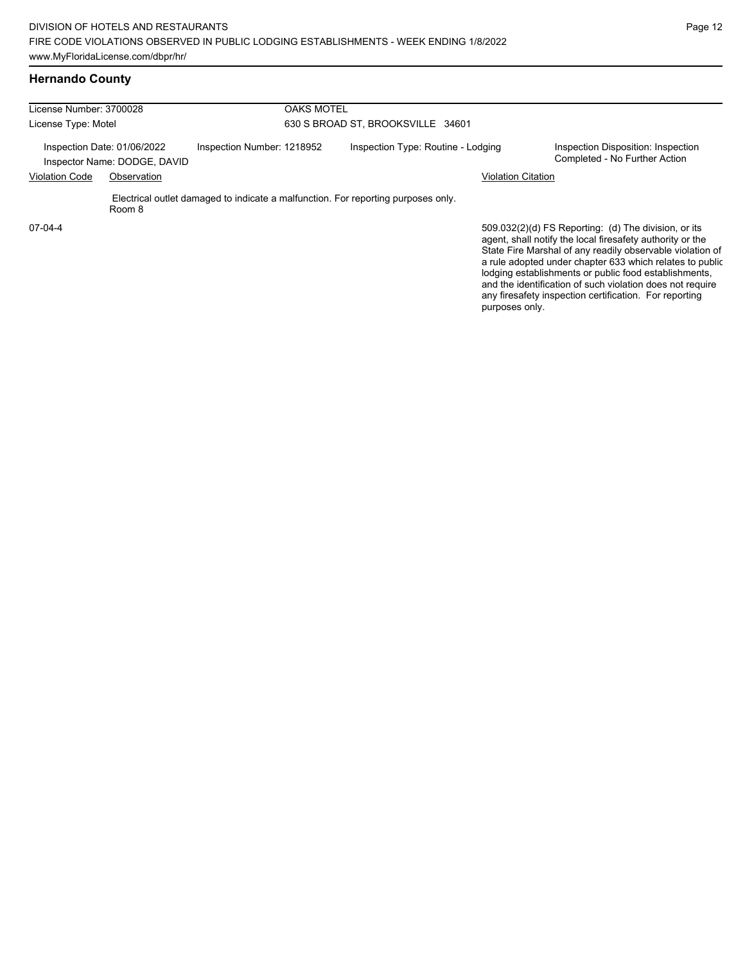| License Number: 3700028                                                                   |        | <b>OAKS MOTEL</b><br>630 S BROAD ST, BROOKSVILLE 34601 |                                    |                                                                                   |                                                                     |                                                                                                                                                                                                                                            |
|-------------------------------------------------------------------------------------------|--------|--------------------------------------------------------|------------------------------------|-----------------------------------------------------------------------------------|---------------------------------------------------------------------|--------------------------------------------------------------------------------------------------------------------------------------------------------------------------------------------------------------------------------------------|
| License Type: Motel                                                                       |        |                                                        |                                    |                                                                                   |                                                                     |                                                                                                                                                                                                                                            |
| Inspection Number: 1218952<br>Inspection Date: 01/06/2022<br>Inspector Name: DODGE, DAVID |        |                                                        | Inspection Type: Routine - Lodging |                                                                                   | Inspection Disposition: Inspection<br>Completed - No Further Action |                                                                                                                                                                                                                                            |
| <b>Violation Code</b><br>Observation                                                      |        |                                                        |                                    |                                                                                   | <b>Violation Citation</b>                                           |                                                                                                                                                                                                                                            |
|                                                                                           | Room 8 |                                                        |                                    | Electrical outlet damaged to indicate a malfunction. For reporting purposes only. |                                                                     |                                                                                                                                                                                                                                            |
| $07-04-4$                                                                                 |        |                                                        |                                    |                                                                                   |                                                                     | 509.032(2)(d) FS Reporting: (d) The division, or its<br>agent, shall notify the local firesafety authority or the<br>State Fire Marshal of any readily observable violation of<br>a rule adopted under chapter 633 which relates to public |

a rule adopted under chapter 633 which relates to public lodging establishments or public food establishments, and the identification of such violation does not require any firesafety inspection certification. For reporting purposes only.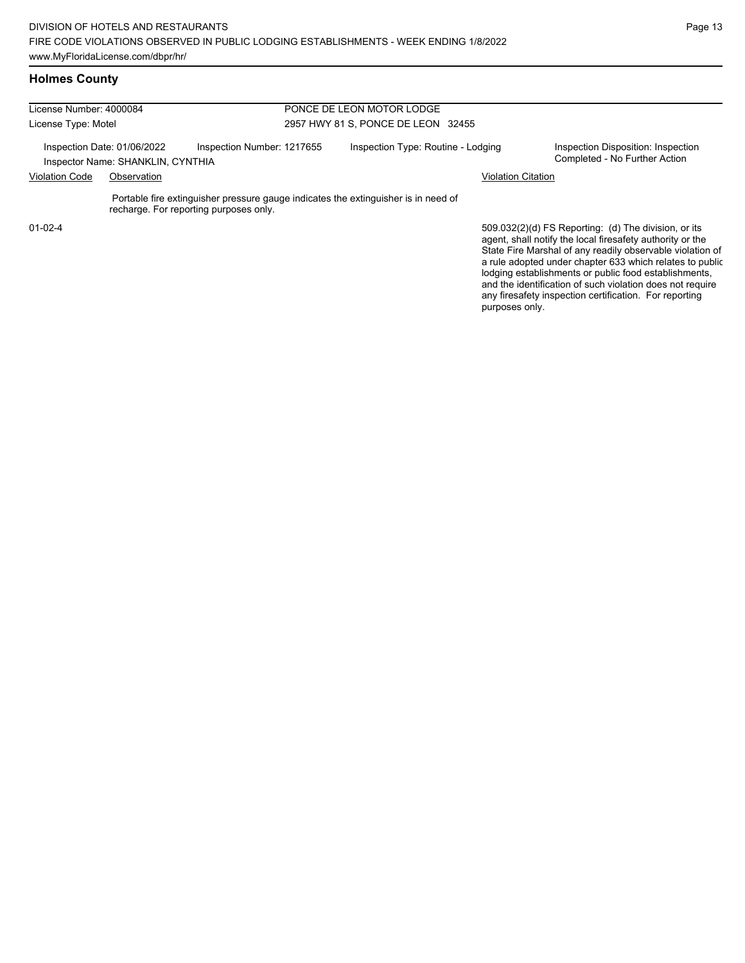#### **Holmes County**

| License Number: 4000084 |                                                                  |                                        | PONCE DE LEON MOTOR LODGE                                                          |                           |                                                                                                                                                                                |  |  |
|-------------------------|------------------------------------------------------------------|----------------------------------------|------------------------------------------------------------------------------------|---------------------------|--------------------------------------------------------------------------------------------------------------------------------------------------------------------------------|--|--|
| License Type: Motel     |                                                                  |                                        | 2957 HWY 81 S, PONCE DE LEON 32455                                                 |                           |                                                                                                                                                                                |  |  |
|                         | Inspection Date: 01/06/2022<br>Inspector Name: SHANKLIN, CYNTHIA | Inspection Number: 1217655             | Inspection Type: Routine - Lodging                                                 |                           | Inspection Disposition: Inspection<br>Completed - No Further Action                                                                                                            |  |  |
| <b>Violation Code</b>   | Observation                                                      |                                        |                                                                                    | <b>Violation Citation</b> |                                                                                                                                                                                |  |  |
|                         |                                                                  | recharge. For reporting purposes only. | Portable fire extinguisher pressure gauge indicates the extinguisher is in need of |                           |                                                                                                                                                                                |  |  |
| $01 - 02 - 4$           |                                                                  |                                        |                                                                                    |                           | 509.032(2)(d) FS Reporting: (d) The division, or its<br>agent, shall notify the local firesafety authority or the<br>State Fire Marshal of any readily observable violation of |  |  |

State Fire Marshal of any readily observable violation of a rule adopted under chapter 633 which relates to public lodging establishments or public food establishments, and the identification of such violation does not require any firesafety inspection certification. For reporting purposes only.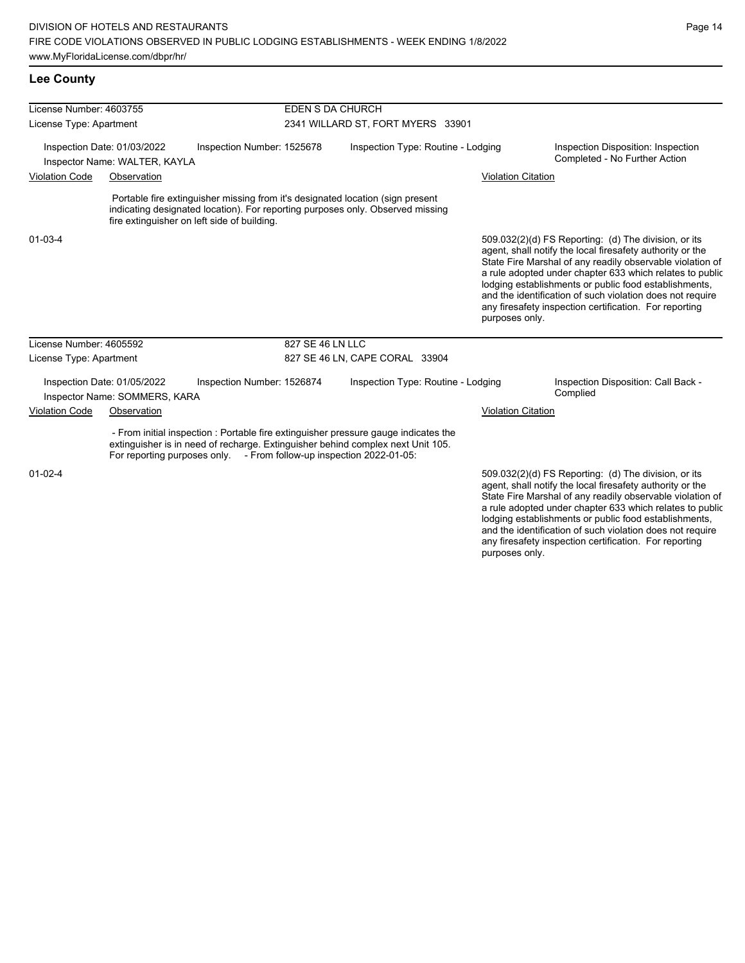#### **Lee County**

| License Number: 4603755 |                                                              |                                                                      | EDEN S DA CHURCH                  |                                                                                                                                                                        |                           |                                                                                                                                                                                                                                                                                                                                                                                                                            |  |
|-------------------------|--------------------------------------------------------------|----------------------------------------------------------------------|-----------------------------------|------------------------------------------------------------------------------------------------------------------------------------------------------------------------|---------------------------|----------------------------------------------------------------------------------------------------------------------------------------------------------------------------------------------------------------------------------------------------------------------------------------------------------------------------------------------------------------------------------------------------------------------------|--|
| License Type: Apartment |                                                              |                                                                      | 2341 WILLARD ST, FORT MYERS 33901 |                                                                                                                                                                        |                           |                                                                                                                                                                                                                                                                                                                                                                                                                            |  |
|                         | Inspection Date: 01/03/2022<br>Inspector Name: WALTER, KAYLA | Inspection Number: 1525678                                           |                                   | Inspection Type: Routine - Lodging                                                                                                                                     |                           | Inspection Disposition: Inspection<br>Completed - No Further Action                                                                                                                                                                                                                                                                                                                                                        |  |
| <b>Violation Code</b>   | Observation                                                  |                                                                      |                                   |                                                                                                                                                                        | <b>Violation Citation</b> |                                                                                                                                                                                                                                                                                                                                                                                                                            |  |
|                         |                                                              | fire extinguisher on left side of building.                          |                                   | Portable fire extinguisher missing from it's designated location (sign present<br>indicating designated location). For reporting purposes only. Observed missing       |                           |                                                                                                                                                                                                                                                                                                                                                                                                                            |  |
| 01-03-4                 |                                                              |                                                                      |                                   |                                                                                                                                                                        | purposes only.            | 509.032(2)(d) FS Reporting: (d) The division, or its<br>agent, shall notify the local firesafety authority or the<br>State Fire Marshal of any readily observable violation of<br>a rule adopted under chapter 633 which relates to public<br>lodging establishments or public food establishments,<br>and the identification of such violation does not require<br>any firesafety inspection certification. For reporting |  |
| License Number: 4605592 |                                                              |                                                                      | 827 SE 46 LN LLC                  |                                                                                                                                                                        |                           |                                                                                                                                                                                                                                                                                                                                                                                                                            |  |
| License Type: Apartment |                                                              |                                                                      |                                   | 827 SE 46 LN, CAPE CORAL 33904                                                                                                                                         |                           |                                                                                                                                                                                                                                                                                                                                                                                                                            |  |
|                         | Inspection Date: 01/05/2022<br>Inspector Name: SOMMERS, KARA | Inspection Number: 1526874                                           |                                   | Inspection Type: Routine - Lodging                                                                                                                                     |                           | Inspection Disposition: Call Back -<br>Complied                                                                                                                                                                                                                                                                                                                                                                            |  |
| <b>Violation Code</b>   | Observation                                                  |                                                                      |                                   |                                                                                                                                                                        | <b>Violation Citation</b> |                                                                                                                                                                                                                                                                                                                                                                                                                            |  |
|                         |                                                              | For reporting purposes only. - From follow-up inspection 2022-01-05: |                                   | - From initial inspection : Portable fire extinguisher pressure gauge indicates the<br>extinguisher is in need of recharge. Extinguisher behind complex next Unit 105. |                           |                                                                                                                                                                                                                                                                                                                                                                                                                            |  |
| $01 - 02 - 4$           |                                                              |                                                                      |                                   |                                                                                                                                                                        |                           | 509.032(2)(d) FS Reporting: (d) The division, or its<br>agent, shall notify the local firesafety authority or the<br>State Fire Marshal of any readily observable violation of<br>a rule adopted under chapter 633 which relates to public                                                                                                                                                                                 |  |

a rule adopted under chapter 633 which relates to public lodging establishments or public food establishments, and the identification of such violation does not require any firesafety inspection certification. For reporting purposes only.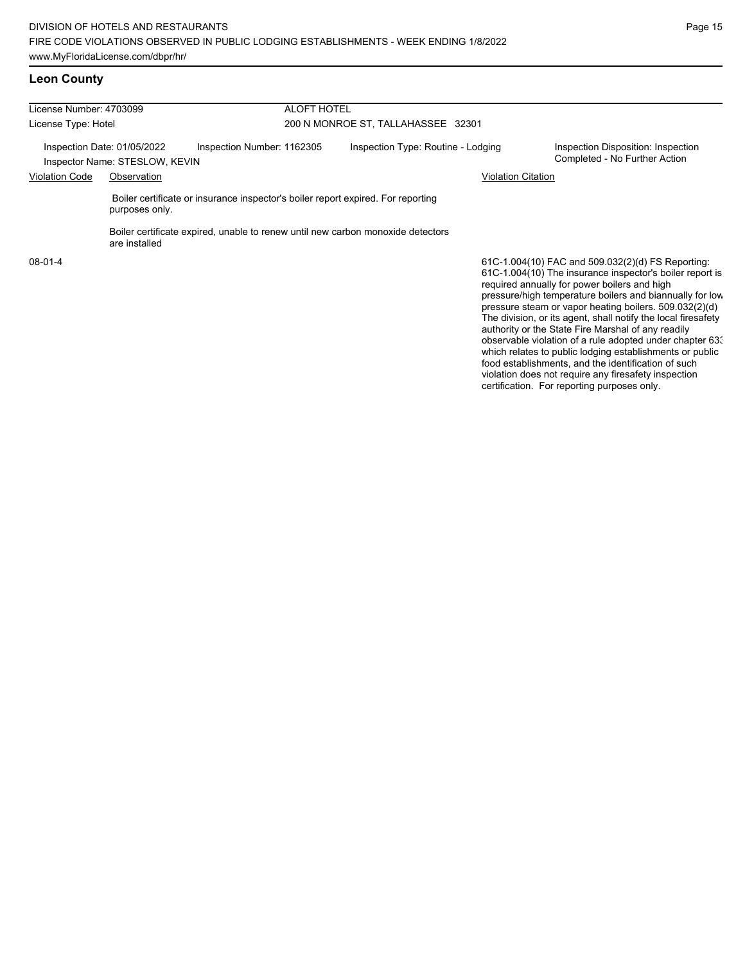| License Number: 4703099<br>License Type: Hotel |                |                                                                                  | <b>ALOFT HOTEL</b><br>200 N MONROE ST, TALLAHASSEE 32301 |                                                                                                               |  |  |  |
|------------------------------------------------|----------------|----------------------------------------------------------------------------------|----------------------------------------------------------|---------------------------------------------------------------------------------------------------------------|--|--|--|
|                                                |                |                                                                                  |                                                          |                                                                                                               |  |  |  |
| Violation Code                                 | Observation    | <b>Violation Citation</b>                                                        |                                                          |                                                                                                               |  |  |  |
|                                                | purposes only. | Boiler certificate or insurance inspector's boiler report expired. For reporting |                                                          |                                                                                                               |  |  |  |
|                                                | are installed  | Boiler certificate expired, unable to renew until new carbon monoxide detectors  |                                                          |                                                                                                               |  |  |  |
| 08-01-4                                        |                |                                                                                  |                                                          | 61C-1.004(10) FAC and 509.032(2)(d) FS Reporting:<br>61C-1.004(10) The insurance inspector's boiler report is |  |  |  |

61C-1.004(10) The insurance inspector's boiler report is required annually for power boilers and high pressure/high temperature boilers and biannually for low pressure steam or vapor heating boilers. 509.032(2)(d) The division, or its agent, shall notify the local firesafety authority or the State Fire Marshal of any readily observable violation of a rule adopted under chapter 633 which relates to public lodging establishments or public food establishments, and the identification of such violation does not require any firesafety inspection certification. For reporting purposes only.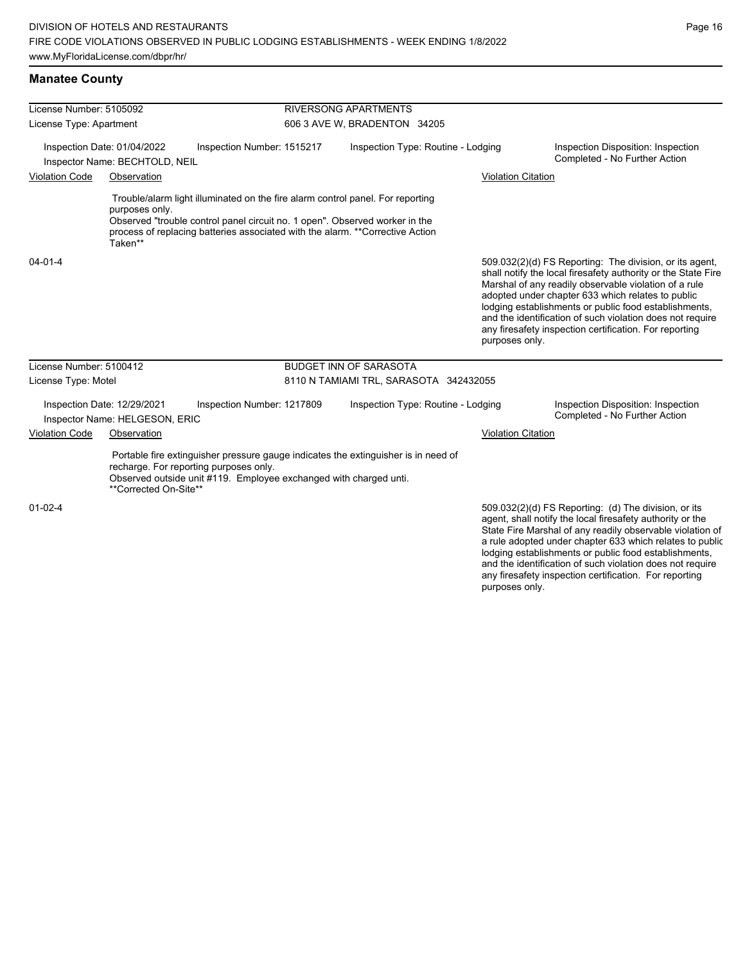| License Number: 5105092 |                                                               |                                                                                                             |                              | <b>RIVERSONG APARTMENTS</b>                                                                                                                                     |                           |                                                                                                                                                                                                                                                                                                                                                                                                                        |  |
|-------------------------|---------------------------------------------------------------|-------------------------------------------------------------------------------------------------------------|------------------------------|-----------------------------------------------------------------------------------------------------------------------------------------------------------------|---------------------------|------------------------------------------------------------------------------------------------------------------------------------------------------------------------------------------------------------------------------------------------------------------------------------------------------------------------------------------------------------------------------------------------------------------------|--|
| License Type: Apartment |                                                               |                                                                                                             | 606 3 AVE W, BRADENTON 34205 |                                                                                                                                                                 |                           |                                                                                                                                                                                                                                                                                                                                                                                                                        |  |
|                         | Inspection Date: 01/04/2022<br>Inspector Name: BECHTOLD, NEIL | Inspection Number: 1515217                                                                                  |                              | Inspection Type: Routine - Lodging                                                                                                                              |                           | Inspection Disposition: Inspection<br>Completed - No Further Action                                                                                                                                                                                                                                                                                                                                                    |  |
| <b>Violation Code</b>   | Observation                                                   |                                                                                                             |                              |                                                                                                                                                                 | <b>Violation Citation</b> |                                                                                                                                                                                                                                                                                                                                                                                                                        |  |
|                         | purposes only.<br>Taken**                                     | Observed "trouble control panel circuit no. 1 open". Observed worker in the                                 |                              | Trouble/alarm light illuminated on the fire alarm control panel. For reporting<br>process of replacing batteries associated with the alarm. **Corrective Action |                           |                                                                                                                                                                                                                                                                                                                                                                                                                        |  |
| 04-01-4                 |                                                               |                                                                                                             |                              |                                                                                                                                                                 | purposes only.            | 509.032(2)(d) FS Reporting: The division, or its agent,<br>shall notify the local firesafety authority or the State Fire<br>Marshal of any readily observable violation of a rule<br>adopted under chapter 633 which relates to public<br>lodging establishments or public food establishments,<br>and the identification of such violation does not require<br>any firesafety inspection certification. For reporting |  |
| License Number: 5100412 |                                                               |                                                                                                             |                              | <b>BUDGET INN OF SARASOTA</b>                                                                                                                                   |                           |                                                                                                                                                                                                                                                                                                                                                                                                                        |  |
| License Type: Motel     |                                                               |                                                                                                             |                              | 8110 N TAMIAMI TRL, SARASOTA 342432055                                                                                                                          |                           |                                                                                                                                                                                                                                                                                                                                                                                                                        |  |
|                         | Inspection Date: 12/29/2021<br>Inspector Name: HELGESON, ERIC | Inspection Number: 1217809                                                                                  |                              | Inspection Type: Routine - Lodging                                                                                                                              |                           | Inspection Disposition: Inspection<br>Completed - No Further Action                                                                                                                                                                                                                                                                                                                                                    |  |
| <b>Violation Code</b>   | Observation                                                   |                                                                                                             |                              |                                                                                                                                                                 | <b>Violation Citation</b> |                                                                                                                                                                                                                                                                                                                                                                                                                        |  |
|                         | **Corrected On-Site**                                         | recharge. For reporting purposes only.<br>Observed outside unit #119. Employee exchanged with charged unti. |                              | Portable fire extinguisher pressure gauge indicates the extinguisher is in need of                                                                              |                           |                                                                                                                                                                                                                                                                                                                                                                                                                        |  |
| $01 - 02 - 4$           |                                                               |                                                                                                             |                              |                                                                                                                                                                 |                           | 509.032(2)(d) FS Reporting: (d) The division, or its<br>agent, shall notify the local firesafety authority or the<br>State Fire Marshal of any readily observable violation of<br>a rule adopted under chapter 633 which relates to public                                                                                                                                                                             |  |

lodging establishments or public food establishments, and the identification of such violation does not require any firesafety inspection certification. For reporting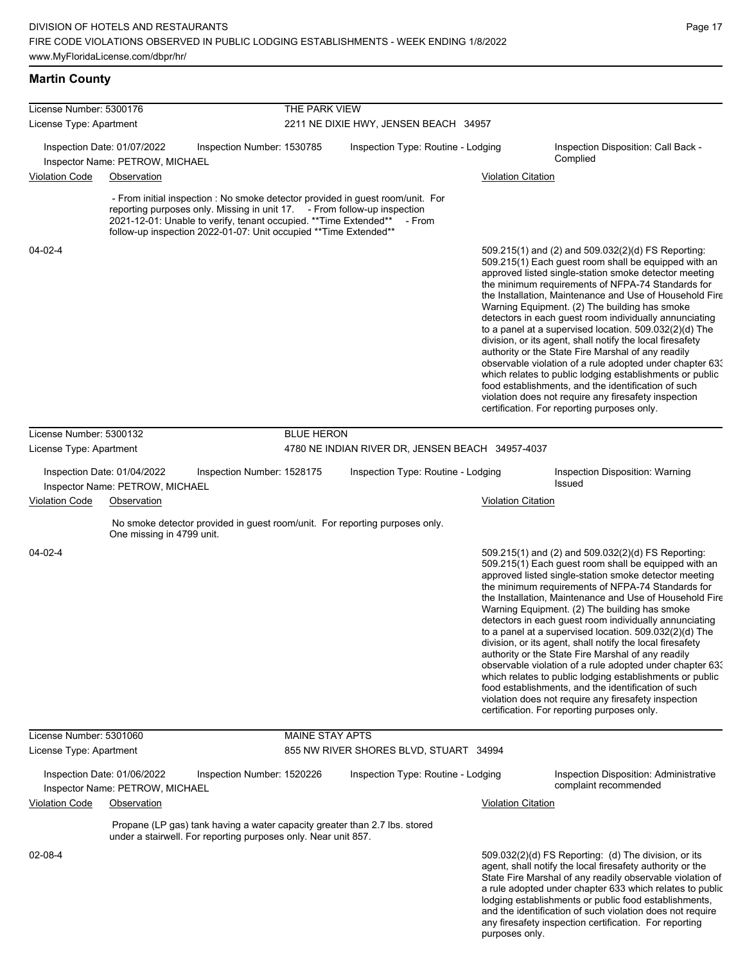## **Martin County**

| License Number: 5300176 |                                                                |                                                                                                                                                                                                                    | THE PARK VIEW          |                                                                                          |                           |                                                                                                                                                                                                                                                                                                                                                                                                                                                                                                                                                                                                                                                                                                                                                                                                                                                                     |
|-------------------------|----------------------------------------------------------------|--------------------------------------------------------------------------------------------------------------------------------------------------------------------------------------------------------------------|------------------------|------------------------------------------------------------------------------------------|---------------------------|---------------------------------------------------------------------------------------------------------------------------------------------------------------------------------------------------------------------------------------------------------------------------------------------------------------------------------------------------------------------------------------------------------------------------------------------------------------------------------------------------------------------------------------------------------------------------------------------------------------------------------------------------------------------------------------------------------------------------------------------------------------------------------------------------------------------------------------------------------------------|
| License Type: Apartment |                                                                |                                                                                                                                                                                                                    |                        | 2211 NE DIXIE HWY, JENSEN BEACH 34957                                                    |                           |                                                                                                                                                                                                                                                                                                                                                                                                                                                                                                                                                                                                                                                                                                                                                                                                                                                                     |
|                         | Inspection Date: 01/07/2022<br>Inspector Name: PETROW, MICHAEL | Inspection Number: 1530785                                                                                                                                                                                         |                        | Inspection Type: Routine - Lodging                                                       |                           | Inspection Disposition: Call Back -<br>Complied                                                                                                                                                                                                                                                                                                                                                                                                                                                                                                                                                                                                                                                                                                                                                                                                                     |
| <b>Violation Code</b>   | Observation                                                    |                                                                                                                                                                                                                    |                        |                                                                                          | <b>Violation Citation</b> |                                                                                                                                                                                                                                                                                                                                                                                                                                                                                                                                                                                                                                                                                                                                                                                                                                                                     |
|                         |                                                                | reporting purposes only. Missing in unit 17. - From follow-up inspection<br>2021-12-01: Unable to verify, tenant occupied. ** Time Extended**<br>follow-up inspection 2022-01-07: Unit occupied ** Time Extended** |                        | - From initial inspection : No smoke detector provided in guest room/unit. For<br>- From |                           |                                                                                                                                                                                                                                                                                                                                                                                                                                                                                                                                                                                                                                                                                                                                                                                                                                                                     |
| 04-02-4                 |                                                                |                                                                                                                                                                                                                    |                        |                                                                                          |                           | 509.215(1) and (2) and 509.032(2)(d) FS Reporting:<br>509.215(1) Each quest room shall be equipped with an<br>approved listed single-station smoke detector meeting<br>the minimum requirements of NFPA-74 Standards for<br>the Installation, Maintenance and Use of Household Fire<br>Warning Equipment. (2) The building has smoke<br>detectors in each guest room individually annunciating<br>to a panel at a supervised location. $509.032(2)(d)$ The<br>division, or its agent, shall notify the local firesafety<br>authority or the State Fire Marshal of any readily<br>observable violation of a rule adopted under chapter 63.<br>which relates to public lodging establishments or public<br>food establishments, and the identification of such<br>violation does not require any firesafety inspection<br>certification. For reporting purposes only. |
| License Number: 5300132 |                                                                |                                                                                                                                                                                                                    | <b>BLUE HERON</b>      |                                                                                          |                           |                                                                                                                                                                                                                                                                                                                                                                                                                                                                                                                                                                                                                                                                                                                                                                                                                                                                     |
| License Type: Apartment |                                                                |                                                                                                                                                                                                                    |                        | 4780 NE INDIAN RIVER DR, JENSEN BEACH 34957-4037                                         |                           |                                                                                                                                                                                                                                                                                                                                                                                                                                                                                                                                                                                                                                                                                                                                                                                                                                                                     |
|                         | Inspection Date: 01/04/2022<br>Inspector Name: PETROW, MICHAEL | Inspection Number: 1528175                                                                                                                                                                                         |                        | Inspection Type: Routine - Lodging                                                       |                           | Inspection Disposition: Warning<br><b>Issued</b>                                                                                                                                                                                                                                                                                                                                                                                                                                                                                                                                                                                                                                                                                                                                                                                                                    |
| <b>Violation Code</b>   | Observation                                                    |                                                                                                                                                                                                                    |                        |                                                                                          | Violation Citation        |                                                                                                                                                                                                                                                                                                                                                                                                                                                                                                                                                                                                                                                                                                                                                                                                                                                                     |
|                         | One missing in 4799 unit.                                      |                                                                                                                                                                                                                    |                        | No smoke detector provided in guest room/unit. For reporting purposes only.              |                           |                                                                                                                                                                                                                                                                                                                                                                                                                                                                                                                                                                                                                                                                                                                                                                                                                                                                     |
| 04-02-4                 |                                                                |                                                                                                                                                                                                                    |                        |                                                                                          |                           | 509.215(1) and (2) and 509.032(2)(d) FS Reporting:<br>509.215(1) Each guest room shall be equipped with an<br>approved listed single-station smoke detector meeting<br>the minimum requirements of NFPA-74 Standards for<br>the Installation, Maintenance and Use of Household Fire<br>Warning Equipment. (2) The building has smoke<br>detectors in each guest room individually annunciating<br>to a panel at a supervised location. $509.032(2)(d)$ The<br>division, or its agent, shall notify the local firesafety<br>authority or the State Fire Marshal of any readily<br>observable violation of a rule adopted under chapter 63.<br>which relates to public lodging establishments or public<br>food establishments, and the identification of such<br>violation does not require any firesafety inspection<br>certification. For reporting purposes only. |
| License Number: 5301060 |                                                                |                                                                                                                                                                                                                    | <b>MAINE STAY APTS</b> |                                                                                          |                           |                                                                                                                                                                                                                                                                                                                                                                                                                                                                                                                                                                                                                                                                                                                                                                                                                                                                     |
| License Type: Apartment |                                                                |                                                                                                                                                                                                                    |                        | 855 NW RIVER SHORES BLVD, STUART 34994                                                   |                           |                                                                                                                                                                                                                                                                                                                                                                                                                                                                                                                                                                                                                                                                                                                                                                                                                                                                     |
|                         | Inspection Date: 01/06/2022<br>Inspector Name: PETROW, MICHAEL | Inspection Number: 1520226                                                                                                                                                                                         |                        | Inspection Type: Routine - Lodging                                                       |                           | Inspection Disposition: Administrative<br>complaint recommended                                                                                                                                                                                                                                                                                                                                                                                                                                                                                                                                                                                                                                                                                                                                                                                                     |
| <b>Violation Code</b>   | Observation                                                    |                                                                                                                                                                                                                    |                        |                                                                                          | <b>Violation Citation</b> |                                                                                                                                                                                                                                                                                                                                                                                                                                                                                                                                                                                                                                                                                                                                                                                                                                                                     |
|                         |                                                                | Propane (LP gas) tank having a water capacity greater than 2.7 lbs. stored<br>under a stairwell. For reporting purposes only. Near unit 857.                                                                       |                        |                                                                                          |                           |                                                                                                                                                                                                                                                                                                                                                                                                                                                                                                                                                                                                                                                                                                                                                                                                                                                                     |
| 02-08-4                 |                                                                |                                                                                                                                                                                                                    |                        |                                                                                          |                           | $509.032(2)(d)$ FS Reporting: (d) The division, or its<br>agent, shall notify the local firesafety authority or the<br>State Fire Marshal of any readily observable violation of<br>a rule adopted under chapter 633 which relates to public<br>lodging establishments or public food establishments,<br>and the identification of such violation does not require                                                                                                                                                                                                                                                                                                                                                                                                                                                                                                  |

any firesafety inspection certification. For reporting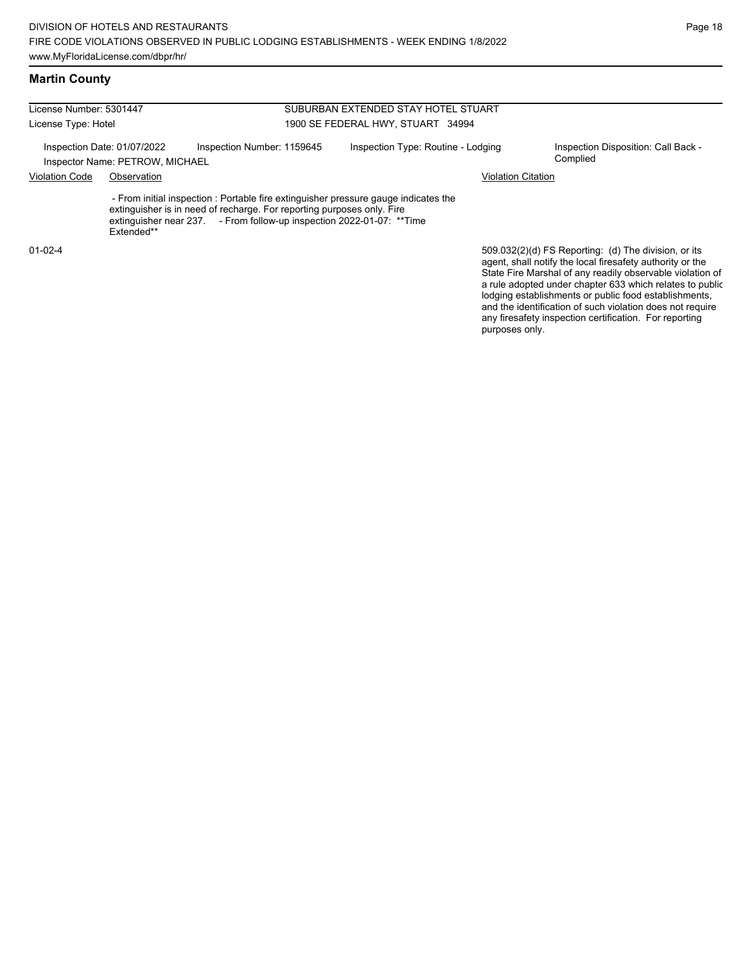| License Number: 5301447                                        |            |                                                                                                                                                                                                                                        | SUBURBAN EXTENDED STAY HOTEL STUART |                                                                                                                                                                                                                                                                                                     |  |  |  |
|----------------------------------------------------------------|------------|----------------------------------------------------------------------------------------------------------------------------------------------------------------------------------------------------------------------------------------|-------------------------------------|-----------------------------------------------------------------------------------------------------------------------------------------------------------------------------------------------------------------------------------------------------------------------------------------------------|--|--|--|
| License Type: Hotel                                            |            |                                                                                                                                                                                                                                        | 1900 SE FEDERAL HWY, STUART 34994   |                                                                                                                                                                                                                                                                                                     |  |  |  |
| Inspection Date: 01/07/2022<br>Inspector Name: PETROW, MICHAEL |            | Inspection Number: 1159645                                                                                                                                                                                                             | Inspection Type: Routine - Lodging  | Inspection Disposition: Call Back -<br>Complied                                                                                                                                                                                                                                                     |  |  |  |
| <b>Violation Code</b><br>Observation                           |            |                                                                                                                                                                                                                                        | Violation Citation                  |                                                                                                                                                                                                                                                                                                     |  |  |  |
|                                                                | Extended** | - From initial inspection : Portable fire extinguisher pressure gauge indicates the<br>extinguisher is in need of recharge. For reporting purposes only. Fire<br>extinguisher near 237. - From follow-up inspection 2022-01-07: **Time |                                     |                                                                                                                                                                                                                                                                                                     |  |  |  |
| $01 - 02 - 4$                                                  |            |                                                                                                                                                                                                                                        |                                     | 509.032(2)(d) FS Reporting: (d) The division, or its<br>agent, shall notify the local firesafety authority or the<br>State Fire Marshal of any readily observable violation of<br>a rule adopted under chapter 633 which relates to public<br>lodging establishments or public food establishments, |  |  |  |

and the identification of such violation does not require any firesafety inspection certification. For reporting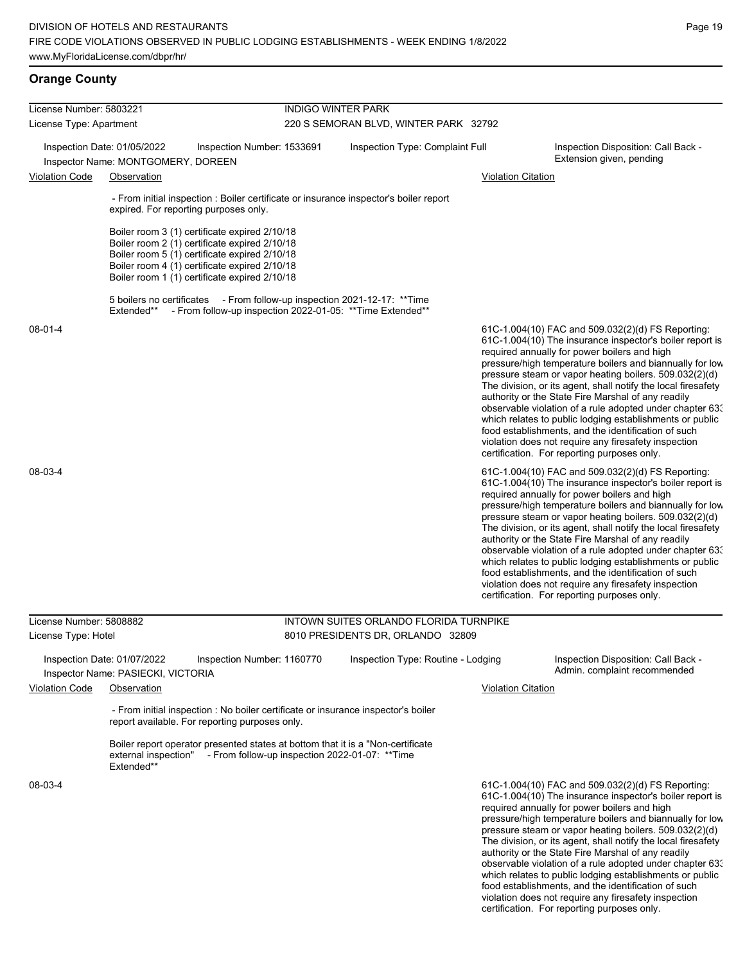## **Orange County**

| License Number: 5803221 |                                                                                                                                                                                                                                                   |                                                | <b>INDIGO WINTER PARK</b>                                  |                           |                                                                                                                                                                                                                                                                                                                                                                                                                                                                                                                                                                                                                                                                                                  |  |  |  |
|-------------------------|---------------------------------------------------------------------------------------------------------------------------------------------------------------------------------------------------------------------------------------------------|------------------------------------------------|------------------------------------------------------------|---------------------------|--------------------------------------------------------------------------------------------------------------------------------------------------------------------------------------------------------------------------------------------------------------------------------------------------------------------------------------------------------------------------------------------------------------------------------------------------------------------------------------------------------------------------------------------------------------------------------------------------------------------------------------------------------------------------------------------------|--|--|--|
| License Type: Apartment |                                                                                                                                                                                                                                                   |                                                | 220 S SEMORAN BLVD, WINTER PARK 32792                      |                           |                                                                                                                                                                                                                                                                                                                                                                                                                                                                                                                                                                                                                                                                                                  |  |  |  |
|                         | Inspection Date: 01/05/2022<br>Inspector Name: MONTGOMERY, DOREEN                                                                                                                                                                                 | Inspection Number: 1533691                     | Inspection Type: Complaint Full                            |                           | Inspection Disposition: Call Back -<br>Extension given, pending                                                                                                                                                                                                                                                                                                                                                                                                                                                                                                                                                                                                                                  |  |  |  |
| Violation Code          | Observation                                                                                                                                                                                                                                       |                                                |                                                            | <b>Violation Citation</b> |                                                                                                                                                                                                                                                                                                                                                                                                                                                                                                                                                                                                                                                                                                  |  |  |  |
|                         | - From initial inspection : Boiler certificate or insurance inspector's boiler report<br>expired. For reporting purposes only.                                                                                                                    |                                                |                                                            |                           |                                                                                                                                                                                                                                                                                                                                                                                                                                                                                                                                                                                                                                                                                                  |  |  |  |
|                         | Boiler room 3 (1) certificate expired 2/10/18<br>Boiler room 2 (1) certificate expired 2/10/18<br>Boiler room 5 (1) certificate expired 2/10/18<br>Boiler room 4 (1) certificate expired 2/10/18<br>Boiler room 1 (1) certificate expired 2/10/18 |                                                |                                                            |                           |                                                                                                                                                                                                                                                                                                                                                                                                                                                                                                                                                                                                                                                                                                  |  |  |  |
|                         | 5 boilers no certificates - From follow-up inspection 2021-12-17: ** Time<br>Extended**                                                                                                                                                           |                                                | - From follow-up inspection 2022-01-05: ** Time Extended** |                           |                                                                                                                                                                                                                                                                                                                                                                                                                                                                                                                                                                                                                                                                                                  |  |  |  |
| 08-01-4                 |                                                                                                                                                                                                                                                   |                                                |                                                            |                           | 61C-1.004(10) FAC and 509.032(2)(d) FS Reporting:<br>61C-1.004(10) The insurance inspector's boiler report is<br>required annually for power boilers and high<br>pressure/high temperature boilers and biannually for low<br>pressure steam or vapor heating boilers. 509.032(2)(d)<br>The division, or its agent, shall notify the local firesafety<br>authority or the State Fire Marshal of any readily<br>observable violation of a rule adopted under chapter 63.<br>which relates to public lodging establishments or public<br>food establishments, and the identification of such<br>violation does not require any firesafety inspection<br>certification. For reporting purposes only. |  |  |  |
| 08-03-4                 |                                                                                                                                                                                                                                                   |                                                |                                                            |                           | 61C-1.004(10) FAC and 509.032(2)(d) FS Reporting:<br>61C-1.004(10) The insurance inspector's boiler report is<br>required annually for power boilers and high<br>pressure/high temperature boilers and biannually for low<br>pressure steam or vapor heating boilers. 509.032(2)(d)<br>The division, or its agent, shall notify the local firesafety<br>authority or the State Fire Marshal of any readily<br>observable violation of a rule adopted under chapter 633<br>which relates to public lodging establishments or public<br>food establishments, and the identification of such<br>violation does not require any firesafety inspection<br>certification. For reporting purposes only. |  |  |  |
| License Number: 5808882 |                                                                                                                                                                                                                                                   |                                                | INTOWN SUITES ORLANDO FLORIDA TURNPIKE                     |                           |                                                                                                                                                                                                                                                                                                                                                                                                                                                                                                                                                                                                                                                                                                  |  |  |  |
| License Type: Hotel     |                                                                                                                                                                                                                                                   |                                                | 8010 PRESIDENTS DR, ORLANDO 32809                          |                           |                                                                                                                                                                                                                                                                                                                                                                                                                                                                                                                                                                                                                                                                                                  |  |  |  |
| <b>Violation Code</b>   | Inspection Date: 01/07/2022<br>Inspector Name: PASIECKI, VICTORIA<br>Observation                                                                                                                                                                  | Inspection Number: 1160770                     | Inspection Type: Routine - Lodging                         | <b>Violation Citation</b> | Inspection Disposition: Call Back -<br>Admin. complaint recommended                                                                                                                                                                                                                                                                                                                                                                                                                                                                                                                                                                                                                              |  |  |  |
|                         | - From initial inspection : No boiler certificate or insurance inspector's boiler<br>report available. For reporting purposes only.                                                                                                               |                                                |                                                            |                           |                                                                                                                                                                                                                                                                                                                                                                                                                                                                                                                                                                                                                                                                                                  |  |  |  |
|                         | Boiler report operator presented states at bottom that it is a "Non-certificate"<br>external inspection"<br>Extended**                                                                                                                            | - From follow-up inspection 2022-01-07: **Time |                                                            |                           |                                                                                                                                                                                                                                                                                                                                                                                                                                                                                                                                                                                                                                                                                                  |  |  |  |
| 08-03-4                 |                                                                                                                                                                                                                                                   |                                                |                                                            |                           | 61C-1.004(10) FAC and 509.032(2)(d) FS Reporting:<br>61C-1.004(10) The insurance inspector's boiler report is<br>required annually for power boilers and high<br>pressure/high temperature boilers and biannually for low<br>pressure steam or vapor heating boilers. 509.032(2)(d)<br>The division, or its agent, shall notify the local firesafety<br>authority or the State Fire Marshal of any readily<br>observable violation of a rule adopted under chapter 63.<br>which relates to public lodging establishments or public                                                                                                                                                               |  |  |  |

Page 19

food establishments, and the identification of such violation does not require any firesafety inspection certification. For reporting purposes only.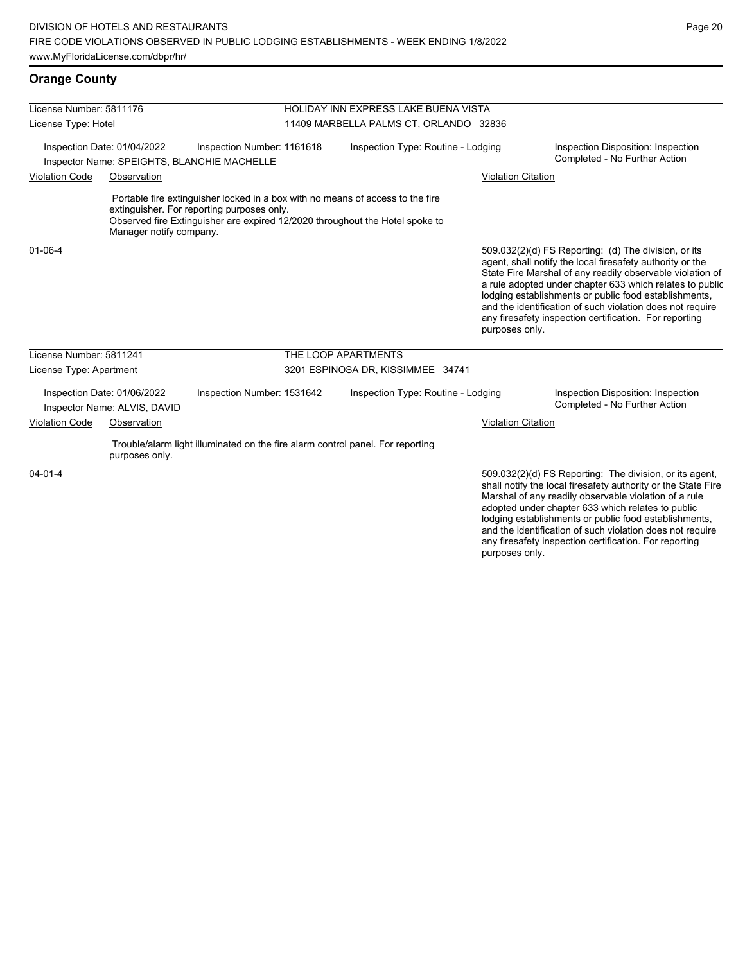# **Orange County**

|                         | License Number: 5811176                     |                                                                                                                              |                                        | HOLIDAY INN EXPRESS LAKE BUENA VISTA                                         |                           |                                                                                                                                                                                                                                                                                                                                                                                                                            |  |
|-------------------------|---------------------------------------------|------------------------------------------------------------------------------------------------------------------------------|----------------------------------------|------------------------------------------------------------------------------|---------------------------|----------------------------------------------------------------------------------------------------------------------------------------------------------------------------------------------------------------------------------------------------------------------------------------------------------------------------------------------------------------------------------------------------------------------------|--|
| License Type: Hotel     |                                             |                                                                                                                              | 11409 MARBELLA PALMS CT, ORLANDO 32836 |                                                                              |                           |                                                                                                                                                                                                                                                                                                                                                                                                                            |  |
| <b>Violation Code</b>   | Inspection Date: 01/04/2022<br>Observation  | Inspection Number: 1161618<br>Inspector Name: SPEIGHTS, BLANCHIE MACHELLE                                                    |                                        | Inspection Type: Routine - Lodging                                           | <b>Violation Citation</b> | Inspection Disposition: Inspection<br>Completed - No Further Action                                                                                                                                                                                                                                                                                                                                                        |  |
|                         | Manager notify company.                     | Portable fire extinguisher locked in a box with no means of access to the fire<br>extinguisher. For reporting purposes only. |                                        | Observed fire Extinguisher are expired 12/2020 throughout the Hotel spoke to |                           |                                                                                                                                                                                                                                                                                                                                                                                                                            |  |
| $01 - 06 - 4$           |                                             |                                                                                                                              |                                        |                                                                              | purposes only.            | 509.032(2)(d) FS Reporting: (d) The division, or its<br>agent, shall notify the local firesafety authority or the<br>State Fire Marshal of any readily observable violation of<br>a rule adopted under chapter 633 which relates to public<br>lodging establishments or public food establishments,<br>and the identification of such violation does not require<br>any firesafety inspection certification. For reporting |  |
|                         |                                             |                                                                                                                              |                                        |                                                                              |                           |                                                                                                                                                                                                                                                                                                                                                                                                                            |  |
| License Number: 5811241 |                                             |                                                                                                                              | THE LOOP APARTMENTS                    |                                                                              |                           |                                                                                                                                                                                                                                                                                                                                                                                                                            |  |
| License Type: Apartment |                                             |                                                                                                                              |                                        | 3201 ESPINOSA DR, KISSIMMEE 34741                                            |                           |                                                                                                                                                                                                                                                                                                                                                                                                                            |  |
|                         | Inspection Date: 01/06/2022                 | Inspection Number: 1531642                                                                                                   |                                        | Inspection Type: Routine - Lodging                                           |                           | Inspection Disposition: Inspection<br>Completed - No Further Action                                                                                                                                                                                                                                                                                                                                                        |  |
| <b>Violation Code</b>   | Inspector Name: ALVIS, DAVID<br>Observation |                                                                                                                              |                                        |                                                                              | <b>Violation Citation</b> |                                                                                                                                                                                                                                                                                                                                                                                                                            |  |
|                         | purposes only.                              | Trouble/alarm light illuminated on the fire alarm control panel. For reporting                                               |                                        |                                                                              |                           |                                                                                                                                                                                                                                                                                                                                                                                                                            |  |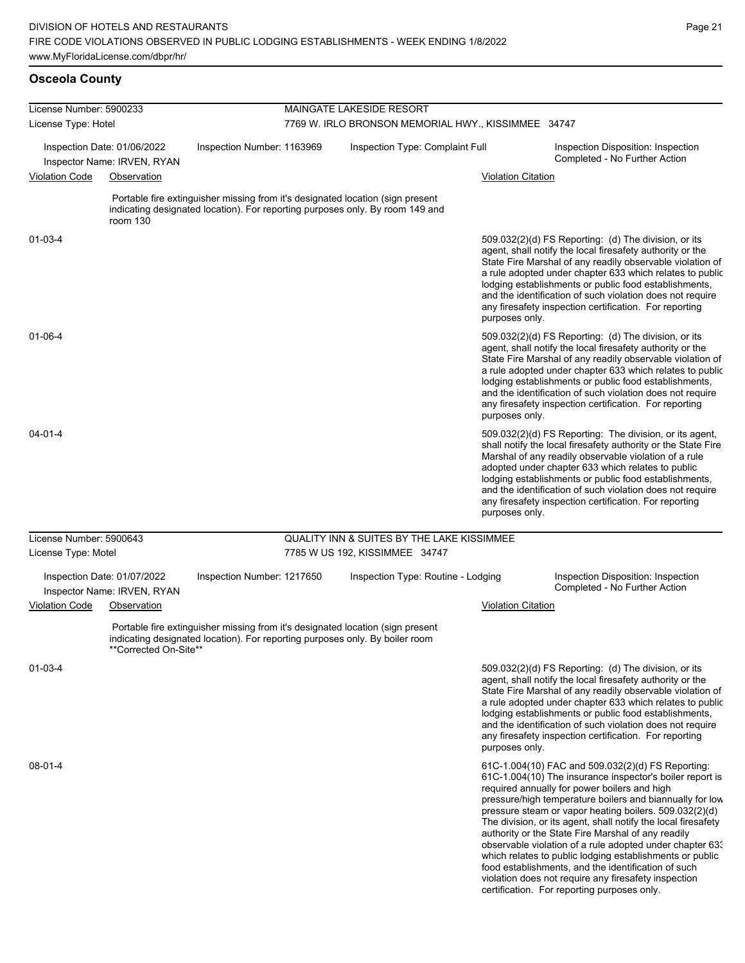| License Number: 5900233 |                                                            |                                                                              |                                                     | MAINGATE LAKESIDE RESORT                                                                                                                                        |                           |                                                                                                                                                                                                                                                                                                                                                                                                                                                                                                                                                                                                                                                   |  |  |
|-------------------------|------------------------------------------------------------|------------------------------------------------------------------------------|-----------------------------------------------------|-----------------------------------------------------------------------------------------------------------------------------------------------------------------|---------------------------|---------------------------------------------------------------------------------------------------------------------------------------------------------------------------------------------------------------------------------------------------------------------------------------------------------------------------------------------------------------------------------------------------------------------------------------------------------------------------------------------------------------------------------------------------------------------------------------------------------------------------------------------------|--|--|
| License Type: Hotel     |                                                            |                                                                              | 7769 W. IRLO BRONSON MEMORIAL HWY., KISSIMMEE 34747 |                                                                                                                                                                 |                           |                                                                                                                                                                                                                                                                                                                                                                                                                                                                                                                                                                                                                                                   |  |  |
|                         | Inspection Date: 01/06/2022<br>Inspector Name: IRVEN, RYAN | Inspection Number: 1163969                                                   | Inspection Type: Complaint Full                     |                                                                                                                                                                 |                           | Inspection Disposition: Inspection<br>Completed - No Further Action                                                                                                                                                                                                                                                                                                                                                                                                                                                                                                                                                                               |  |  |
| <b>Violation Code</b>   | Observation                                                |                                                                              |                                                     |                                                                                                                                                                 | <b>Violation Citation</b> |                                                                                                                                                                                                                                                                                                                                                                                                                                                                                                                                                                                                                                                   |  |  |
|                         | room 130                                                   |                                                                              |                                                     | Portable fire extinguisher missing from it's designated location (sign present<br>indicating designated location). For reporting purposes only. By room 149 and |                           |                                                                                                                                                                                                                                                                                                                                                                                                                                                                                                                                                                                                                                                   |  |  |
| 01-03-4                 |                                                            |                                                                              |                                                     |                                                                                                                                                                 | purposes only.            | 509.032(2)(d) FS Reporting: (d) The division, or its<br>agent, shall notify the local firesafety authority or the<br>State Fire Marshal of any readily observable violation of<br>a rule adopted under chapter 633 which relates to public<br>lodging establishments or public food establishments,<br>and the identification of such violation does not require<br>any firesafety inspection certification. For reporting                                                                                                                                                                                                                        |  |  |
| 01-06-4                 |                                                            |                                                                              |                                                     |                                                                                                                                                                 | purposes only.            | 509.032(2)(d) FS Reporting: (d) The division, or its<br>agent, shall notify the local firesafety authority or the<br>State Fire Marshal of any readily observable violation of<br>a rule adopted under chapter 633 which relates to public<br>lodging establishments or public food establishments,<br>and the identification of such violation does not require<br>any firesafety inspection certification. For reporting                                                                                                                                                                                                                        |  |  |
| 04-01-4                 |                                                            |                                                                              |                                                     |                                                                                                                                                                 | purposes only.            | 509.032(2)(d) FS Reporting: The division, or its agent,<br>shall notify the local firesafety authority or the State Fire<br>Marshal of any readily observable violation of a rule<br>adopted under chapter 633 which relates to public<br>lodging establishments or public food establishments,<br>and the identification of such violation does not require<br>any firesafety inspection certification. For reporting                                                                                                                                                                                                                            |  |  |
| License Number: 5900643 |                                                            |                                                                              |                                                     | <b>QUALITY INN &amp; SUITES BY THE LAKE KISSIMMEE</b>                                                                                                           |                           |                                                                                                                                                                                                                                                                                                                                                                                                                                                                                                                                                                                                                                                   |  |  |
| License Type: Motel     |                                                            |                                                                              |                                                     | 7785 W US 192, KISSIMMEE 34747                                                                                                                                  |                           |                                                                                                                                                                                                                                                                                                                                                                                                                                                                                                                                                                                                                                                   |  |  |
|                         | Inspection Date: 01/07/2022<br>Inspector Name: IRVEN, RYAN | Inspection Number: 1217650                                                   |                                                     | Inspection Type: Routine - Lodging                                                                                                                              |                           | Inspection Disposition: Inspection<br>Completed - No Further Action                                                                                                                                                                                                                                                                                                                                                                                                                                                                                                                                                                               |  |  |
| <b>Violation Code</b>   | Observation                                                |                                                                              |                                                     |                                                                                                                                                                 | <b>Violation Citation</b> |                                                                                                                                                                                                                                                                                                                                                                                                                                                                                                                                                                                                                                                   |  |  |
|                         | **Corrected On-Site**                                      | indicating designated location). For reporting purposes only. By boiler room |                                                     | Portable fire extinguisher missing from it's designated location (sign present                                                                                  |                           |                                                                                                                                                                                                                                                                                                                                                                                                                                                                                                                                                                                                                                                   |  |  |
| 01-03-4                 |                                                            |                                                                              |                                                     |                                                                                                                                                                 | purposes only.            | 509.032(2)(d) FS Reporting: (d) The division, or its<br>agent, shall notify the local firesafety authority or the<br>State Fire Marshal of any readily observable violation of<br>a rule adopted under chapter 633 which relates to public<br>lodging establishments or public food establishments,<br>and the identification of such violation does not require<br>any firesafety inspection certification. For reporting                                                                                                                                                                                                                        |  |  |
| 08-01-4                 |                                                            |                                                                              |                                                     |                                                                                                                                                                 |                           | 61C-1.004(10) FAC and 509.032(2)(d) FS Reporting:<br>61C-1.004(10) The insurance inspector's boiler report is<br>required annually for power boilers and high<br>pressure/high temperature boilers and biannually for low<br>pressure steam or vapor heating boilers. 509.032(2)(d)<br>The division, or its agent, shall notify the local firesafety<br>authority or the State Fire Marshal of any readily<br>observable violation of a rule adopted under chapter 63.<br>which relates to public lodging establishments or public<br>food establishments, and the identification of such<br>violation does not require any firesafety inspection |  |  |

certification. For reporting purposes only.

Page 21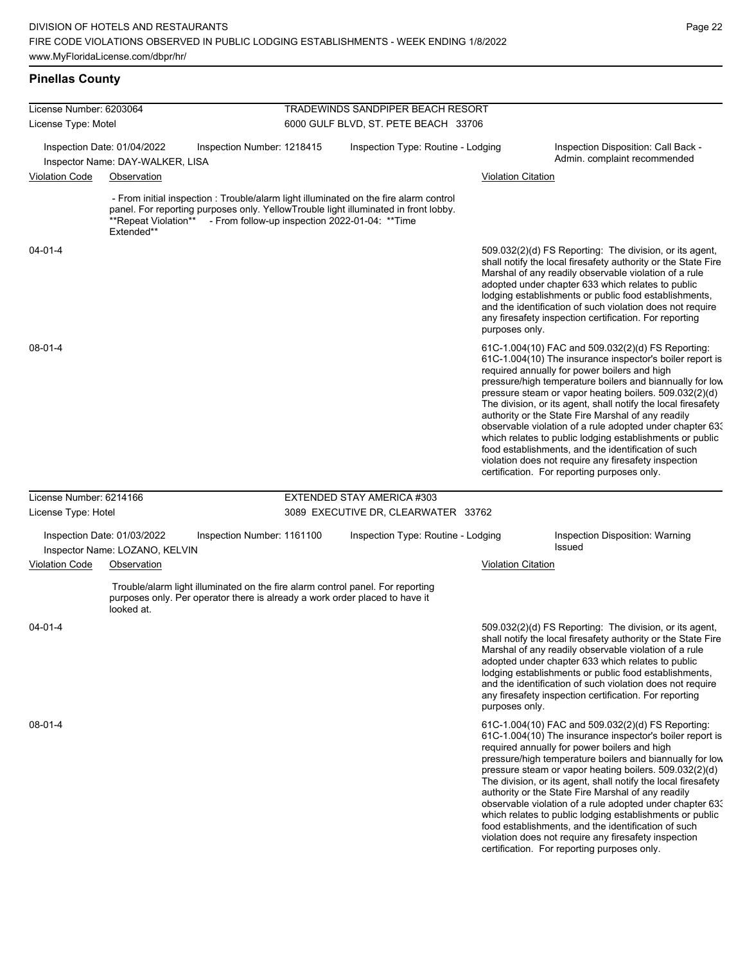| License Number: 6203064 |                                                                 |                                                                             |  | TRADEWINDS SANDPIPER BEACH RESORT                                                                                                                                                                                               |                           |                                                                                                                                                                                                                                                                                                                                                                                                                                                                                                                                                                                                                                                                                                  |
|-------------------------|-----------------------------------------------------------------|-----------------------------------------------------------------------------|--|---------------------------------------------------------------------------------------------------------------------------------------------------------------------------------------------------------------------------------|---------------------------|--------------------------------------------------------------------------------------------------------------------------------------------------------------------------------------------------------------------------------------------------------------------------------------------------------------------------------------------------------------------------------------------------------------------------------------------------------------------------------------------------------------------------------------------------------------------------------------------------------------------------------------------------------------------------------------------------|
| License Type: Motel     |                                                                 | 6000 GULF BLVD, ST. PETE BEACH 33706                                        |  |                                                                                                                                                                                                                                 |                           |                                                                                                                                                                                                                                                                                                                                                                                                                                                                                                                                                                                                                                                                                                  |
|                         | Inspection Date: 01/04/2022<br>Inspector Name: DAY-WALKER, LISA | Inspection Number: 1218415                                                  |  | Inspection Type: Routine - Lodging                                                                                                                                                                                              |                           | Inspection Disposition: Call Back -<br>Admin. complaint recommended                                                                                                                                                                                                                                                                                                                                                                                                                                                                                                                                                                                                                              |
| <b>Violation Code</b>   | Observation                                                     |                                                                             |  |                                                                                                                                                                                                                                 | <b>Violation Citation</b> |                                                                                                                                                                                                                                                                                                                                                                                                                                                                                                                                                                                                                                                                                                  |
|                         | **Repeat Violation**<br>Extended**                              |                                                                             |  | - From initial inspection : Trouble/alarm light illuminated on the fire alarm control<br>panel. For reporting purposes only. YellowTrouble light illuminated in front lobby.<br>- From follow-up inspection 2022-01-04: ** Time |                           |                                                                                                                                                                                                                                                                                                                                                                                                                                                                                                                                                                                                                                                                                                  |
| $04 - 01 - 4$           |                                                                 |                                                                             |  |                                                                                                                                                                                                                                 | purposes only.            | 509.032(2)(d) FS Reporting: The division, or its agent,<br>shall notify the local firesafety authority or the State Fire<br>Marshal of any readily observable violation of a rule<br>adopted under chapter 633 which relates to public<br>lodging establishments or public food establishments,<br>and the identification of such violation does not require<br>any firesafety inspection certification. For reporting                                                                                                                                                                                                                                                                           |
| $08 - 01 - 4$           |                                                                 |                                                                             |  |                                                                                                                                                                                                                                 |                           | 61C-1.004(10) FAC and 509.032(2)(d) FS Reporting:<br>61C-1.004(10) The insurance inspector's boiler report is<br>required annually for power boilers and high<br>pressure/high temperature boilers and biannually for low<br>pressure steam or vapor heating boilers. 509.032(2)(d)<br>The division, or its agent, shall notify the local firesafety<br>authority or the State Fire Marshal of any readily<br>observable violation of a rule adopted under chapter 63.<br>which relates to public lodging establishments or public<br>food establishments, and the identification of such<br>violation does not require any firesafety inspection<br>certification. For reporting purposes only. |
| License Number: 6214166 |                                                                 |                                                                             |  | EXTENDED STAY AMERICA #303                                                                                                                                                                                                      |                           |                                                                                                                                                                                                                                                                                                                                                                                                                                                                                                                                                                                                                                                                                                  |
| License Type: Hotel     |                                                                 |                                                                             |  | 3089 EXECUTIVE DR, CLEARWATER 33762                                                                                                                                                                                             |                           |                                                                                                                                                                                                                                                                                                                                                                                                                                                                                                                                                                                                                                                                                                  |
|                         | Inspection Date: 01/03/2022<br>Inspector Name: LOZANO, KELVIN   | Inspection Number: 1161100                                                  |  | Inspection Type: Routine - Lodging                                                                                                                                                                                              |                           | Inspection Disposition: Warning<br><b>Issued</b>                                                                                                                                                                                                                                                                                                                                                                                                                                                                                                                                                                                                                                                 |
| <b>Violation Code</b>   | Observation                                                     |                                                                             |  |                                                                                                                                                                                                                                 | <b>Violation Citation</b> |                                                                                                                                                                                                                                                                                                                                                                                                                                                                                                                                                                                                                                                                                                  |
|                         | looked at.                                                      | purposes only. Per operator there is already a work order placed to have it |  | Trouble/alarm light illuminated on the fire alarm control panel. For reporting                                                                                                                                                  |                           |                                                                                                                                                                                                                                                                                                                                                                                                                                                                                                                                                                                                                                                                                                  |
| $04 - 01 - 4$           |                                                                 |                                                                             |  |                                                                                                                                                                                                                                 | purposes only.            | 509.032(2)(d) FS Reporting: The division, or its agent,<br>shall notify the local firesafety authority or the State Fire<br>Marshal of any readily observable violation of a rule<br>adopted under chapter 633 which relates to public<br>lodging establishments or public food establishments,<br>and the identification of such violation does not require<br>any firesafety inspection certification. For reporting                                                                                                                                                                                                                                                                           |
| $08-01-4$               |                                                                 |                                                                             |  |                                                                                                                                                                                                                                 |                           | 61C-1.004(10) FAC and 509.032(2)(d) FS Reporting:<br>61C-1.004(10) The insurance inspector's boiler report is<br>required annually for power boilers and high<br>pressure/high temperature boilers and biannually for low<br>pressure steam or vapor heating boilers. 509.032(2)(d)<br>The division, or its agent, shall notify the local firesafety<br>authority or the State Fire Marshal of any readily<br>observable violation of a rule adopted under chapter 633                                                                                                                                                                                                                           |

which relates to public lodging establishments or public food establishments, and the identification of such violation does not require any firesafety inspection certification. For reporting purposes only.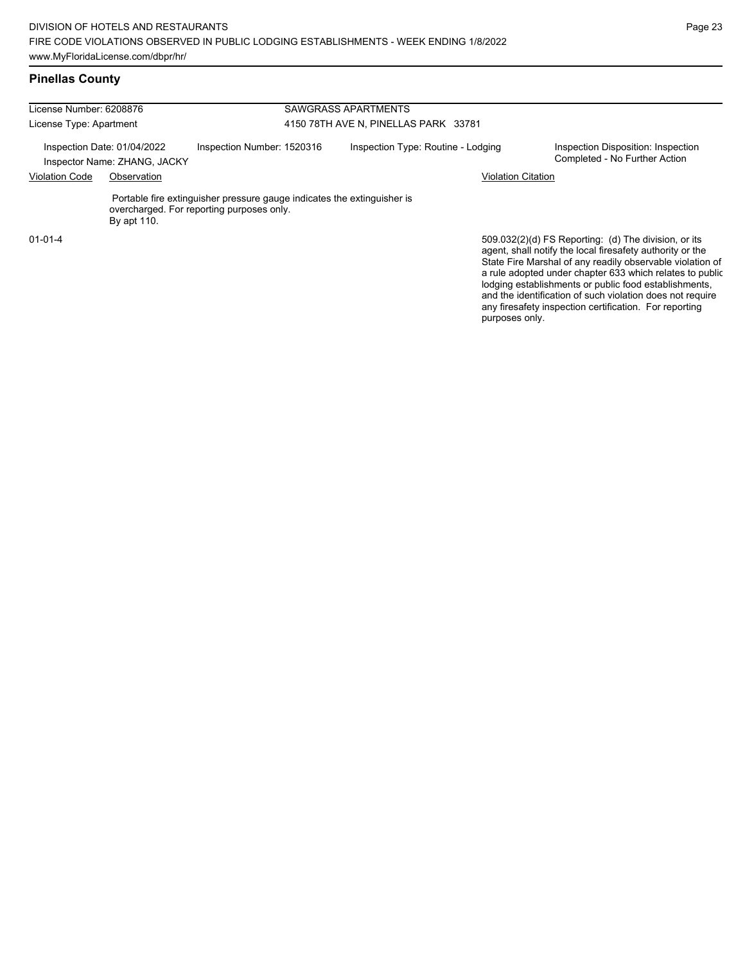| License Number: 6208876 |                                                             |                                                                                                                      | <b>SAWGRASS APARTMENTS</b>           |                                                                                                                                                                                                                                                                                                    |  |  |  |
|-------------------------|-------------------------------------------------------------|----------------------------------------------------------------------------------------------------------------------|--------------------------------------|----------------------------------------------------------------------------------------------------------------------------------------------------------------------------------------------------------------------------------------------------------------------------------------------------|--|--|--|
| License Type: Apartment |                                                             |                                                                                                                      | 4150 78TH AVE N, PINELLAS PARK 33781 |                                                                                                                                                                                                                                                                                                    |  |  |  |
|                         | Inspection Date: 01/04/2022<br>Inspector Name: ZHANG, JACKY | Inspection Number: 1520316                                                                                           | Inspection Type: Routine - Lodging   | Inspection Disposition: Inspection<br>Completed - No Further Action                                                                                                                                                                                                                                |  |  |  |
| <b>Violation Code</b>   | Observation                                                 |                                                                                                                      |                                      | <b>Violation Citation</b>                                                                                                                                                                                                                                                                          |  |  |  |
|                         | By apt 110.                                                 | Portable fire extinguisher pressure gauge indicates the extinguisher is<br>overcharged. For reporting purposes only. |                                      |                                                                                                                                                                                                                                                                                                    |  |  |  |
| $01 - 01 - 4$           |                                                             |                                                                                                                      |                                      | 509.032(2)(d) FS Reporting: (d) The division, or its<br>agent, shall notify the local firesafety authority or the<br>State Fire Marshal of any readily observable violation of<br>a rule adopted under chapter 633 which relates to public<br>lodging ostablishments or public food ostablishments |  |  |  |

lodging establishments or public food establishments, and the identification of such violation does not require any firesafety inspection certification. For reporting purposes only.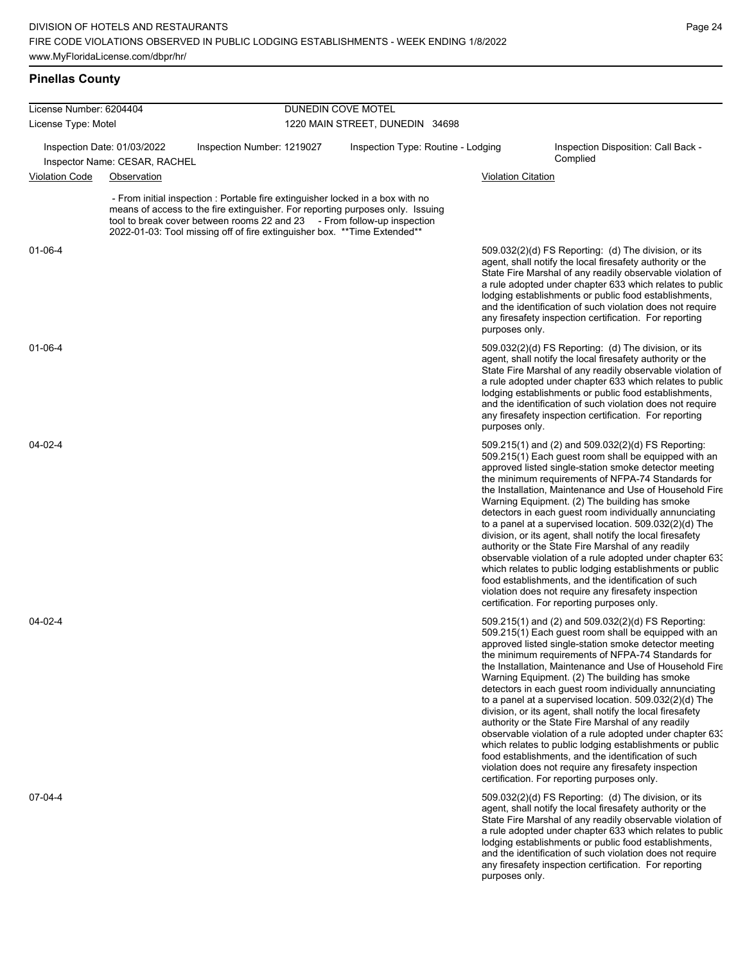| License Number: 6204404 |                                                                                                                                                                                                                                                                                                                         | DUNEDIN COVE MOTEL              |                                    |                           |                                                                                                                                                                                                                                                                                                                                                                                                                                                                                                                                                                                                                                                                                                                                                                                                                                                                     |  |
|-------------------------|-------------------------------------------------------------------------------------------------------------------------------------------------------------------------------------------------------------------------------------------------------------------------------------------------------------------------|---------------------------------|------------------------------------|---------------------------|---------------------------------------------------------------------------------------------------------------------------------------------------------------------------------------------------------------------------------------------------------------------------------------------------------------------------------------------------------------------------------------------------------------------------------------------------------------------------------------------------------------------------------------------------------------------------------------------------------------------------------------------------------------------------------------------------------------------------------------------------------------------------------------------------------------------------------------------------------------------|--|
| License Type: Motel     |                                                                                                                                                                                                                                                                                                                         | 1220 MAIN STREET, DUNEDIN 34698 |                                    |                           |                                                                                                                                                                                                                                                                                                                                                                                                                                                                                                                                                                                                                                                                                                                                                                                                                                                                     |  |
|                         | Inspection Date: 01/03/2022<br>Inspection Number: 1219027<br>Inspector Name: CESAR, RACHEL                                                                                                                                                                                                                              |                                 | Inspection Type: Routine - Lodging |                           | Inspection Disposition: Call Back -<br>Complied                                                                                                                                                                                                                                                                                                                                                                                                                                                                                                                                                                                                                                                                                                                                                                                                                     |  |
| <b>Violation Code</b>   | Observation                                                                                                                                                                                                                                                                                                             |                                 |                                    | <b>Violation Citation</b> |                                                                                                                                                                                                                                                                                                                                                                                                                                                                                                                                                                                                                                                                                                                                                                                                                                                                     |  |
|                         | - From initial inspection : Portable fire extinguisher locked in a box with no<br>means of access to the fire extinguisher. For reporting purposes only. Issuing<br>tool to break cover between rooms 22 and 23 - From follow-up inspection<br>2022-01-03: Tool missing off of fire extinguisher box. **Time Extended** |                                 |                                    |                           |                                                                                                                                                                                                                                                                                                                                                                                                                                                                                                                                                                                                                                                                                                                                                                                                                                                                     |  |
| 01-06-4                 |                                                                                                                                                                                                                                                                                                                         |                                 |                                    | purposes only.            | 509.032(2)(d) FS Reporting: (d) The division, or its<br>agent, shall notify the local firesafety authority or the<br>State Fire Marshal of any readily observable violation of<br>a rule adopted under chapter 633 which relates to public<br>lodging establishments or public food establishments,<br>and the identification of such violation does not require<br>any firesafety inspection certification. For reporting                                                                                                                                                                                                                                                                                                                                                                                                                                          |  |
| $01 - 06 - 4$           |                                                                                                                                                                                                                                                                                                                         |                                 |                                    | purposes only.            | 509.032(2)(d) FS Reporting: (d) The division, or its<br>agent, shall notify the local firesafety authority or the<br>State Fire Marshal of any readily observable violation of<br>a rule adopted under chapter 633 which relates to public<br>lodging establishments or public food establishments,<br>and the identification of such violation does not require<br>any firesafety inspection certification. For reporting                                                                                                                                                                                                                                                                                                                                                                                                                                          |  |
| 04-02-4                 |                                                                                                                                                                                                                                                                                                                         |                                 |                                    |                           | 509.215(1) and (2) and 509.032(2)(d) FS Reporting:<br>509.215(1) Each guest room shall be equipped with an<br>approved listed single-station smoke detector meeting<br>the minimum requirements of NFPA-74 Standards for<br>the Installation, Maintenance and Use of Household Fire<br>Warning Equipment. (2) The building has smoke<br>detectors in each guest room individually annunciating<br>to a panel at a supervised location. $509.032(2)(d)$ The<br>division, or its agent, shall notify the local firesafety<br>authority or the State Fire Marshal of any readily<br>observable violation of a rule adopted under chapter 63.<br>which relates to public lodging establishments or public<br>food establishments, and the identification of such<br>violation does not require any firesafety inspection<br>certification. For reporting purposes only. |  |
| 04-02-4                 |                                                                                                                                                                                                                                                                                                                         |                                 |                                    |                           | 509.215(1) and (2) and 509.032(2)(d) FS Reporting:<br>509.215(1) Each quest room shall be equipped with an<br>approved listed single-station smoke detector meeting<br>the minimum requirements of NFPA-74 Standards for<br>the Installation. Maintenance and Use of Household Fire<br>Warning Equipment. (2) The building has smoke<br>detectors in each guest room individually annunciating<br>to a panel at a supervised location. 509.032(2)(d) The<br>division, or its agent, shall notify the local firesafety<br>authority or the State Fire Marshal of any readily<br>observable violation of a rule adopted under chapter 633<br>which relates to public lodging establishments or public<br>food establishments, and the identification of such<br>violation does not require any firesafety inspection<br>certification. For reporting purposes only.   |  |
| 07-04-4                 |                                                                                                                                                                                                                                                                                                                         |                                 |                                    | purposes only.            | 509.032(2)(d) FS Reporting: (d) The division, or its<br>agent, shall notify the local firesafety authority or the<br>State Fire Marshal of any readily observable violation of<br>a rule adopted under chapter 633 which relates to public<br>lodging establishments or public food establishments,<br>and the identification of such violation does not require<br>any firesafety inspection certification. For reporting                                                                                                                                                                                                                                                                                                                                                                                                                                          |  |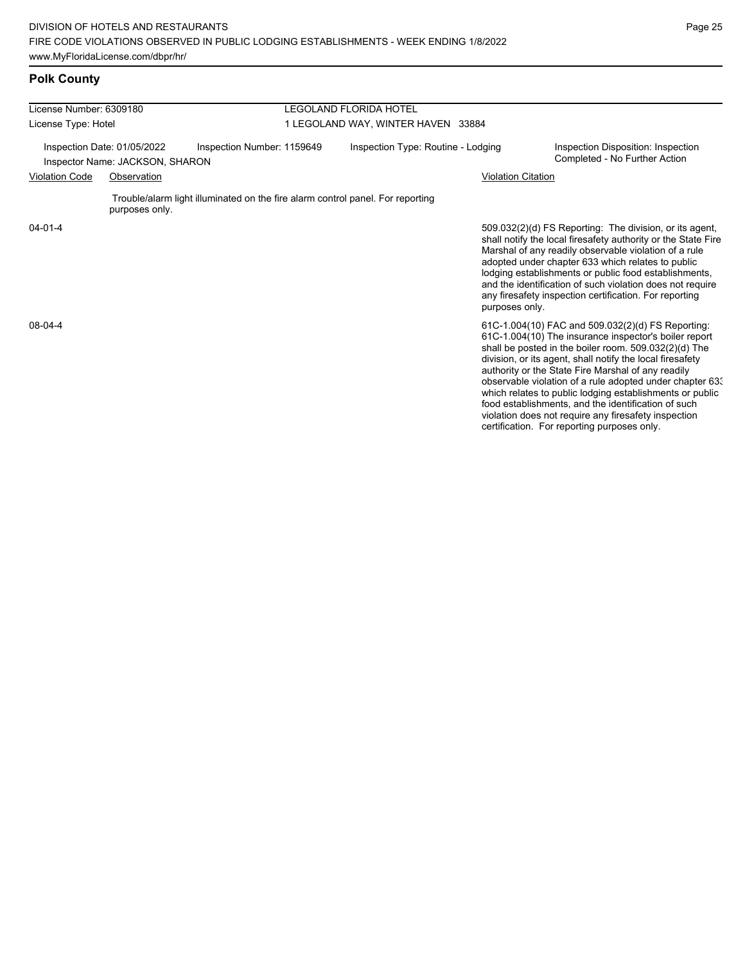| License Number: 6309180                                        |                |                                                                                | <b>LEGOLAND FLORIDA HOTEL</b>      |                                                                                                                                                                                                                                                                                                                                                                                                                                                                                                                                                                              |  |  |  |  |
|----------------------------------------------------------------|----------------|--------------------------------------------------------------------------------|------------------------------------|------------------------------------------------------------------------------------------------------------------------------------------------------------------------------------------------------------------------------------------------------------------------------------------------------------------------------------------------------------------------------------------------------------------------------------------------------------------------------------------------------------------------------------------------------------------------------|--|--|--|--|
| License Type: Hotel                                            |                |                                                                                | 1 LEGOLAND WAY, WINTER HAVEN 33884 |                                                                                                                                                                                                                                                                                                                                                                                                                                                                                                                                                                              |  |  |  |  |
| Inspection Date: 01/05/2022<br>Inspector Name: JACKSON, SHARON |                | Inspection Number: 1159649                                                     | Inspection Type: Routine - Lodging | Inspection Disposition: Inspection<br>Completed - No Further Action                                                                                                                                                                                                                                                                                                                                                                                                                                                                                                          |  |  |  |  |
| <b>Violation Code</b><br>Observation                           |                |                                                                                | <b>Violation Citation</b>          |                                                                                                                                                                                                                                                                                                                                                                                                                                                                                                                                                                              |  |  |  |  |
|                                                                | purposes only. | Trouble/alarm light illuminated on the fire alarm control panel. For reporting |                                    |                                                                                                                                                                                                                                                                                                                                                                                                                                                                                                                                                                              |  |  |  |  |
| $04 - 01 - 4$                                                  |                |                                                                                |                                    | 509.032(2)(d) FS Reporting: The division, or its agent,<br>shall notify the local firesafety authority or the State Fire<br>Marshal of any readily observable violation of a rule<br>adopted under chapter 633 which relates to public<br>lodging establishments or public food establishments,<br>and the identification of such violation does not require<br>any firesafety inspection certification. For reporting<br>purposes only.                                                                                                                                     |  |  |  |  |
| 08-04-4                                                        |                |                                                                                |                                    | 61C-1.004(10) FAC and 509.032(2)(d) FS Reporting:<br>61C-1.004(10) The insurance inspector's boiler report<br>shall be posted in the boiler room. 509.032(2)(d) The<br>division, or its agent, shall notify the local firesafety<br>authority or the State Fire Marshal of any readily<br>observable violation of a rule adopted under chapter 633<br>which relates to public lodging establishments or public<br>food establishments, and the identification of such<br>violation does not require any firesafety inspection<br>certification. For reporting purposes only. |  |  |  |  |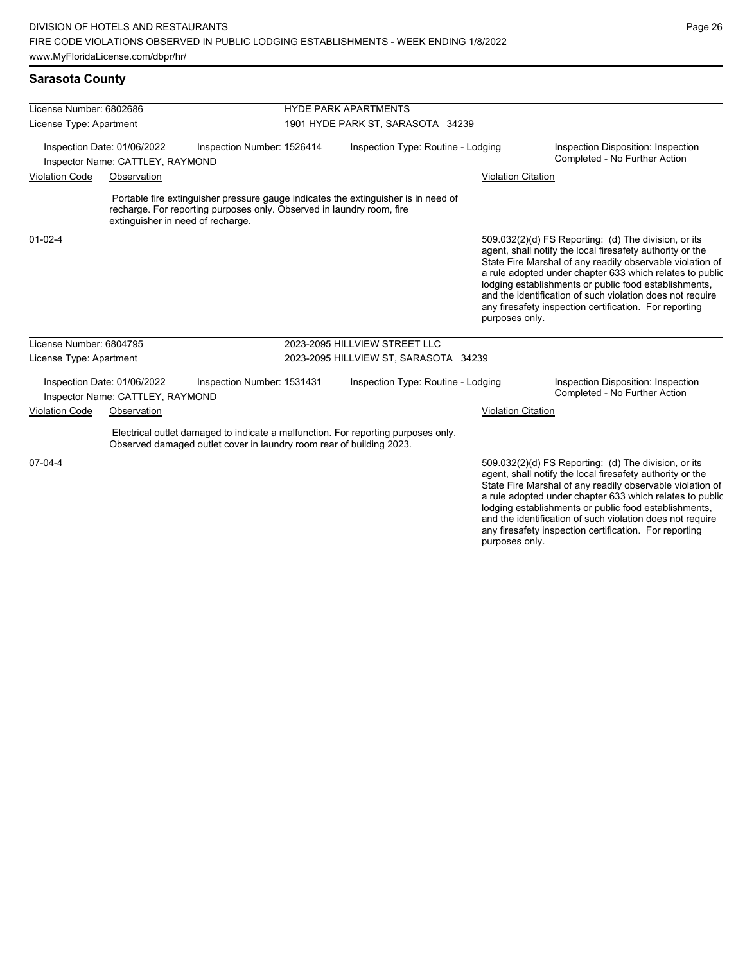| License Number: 6802686                                                                       |                                   |                                                                                                                                                             | <b>HYDE PARK APARTMENTS</b>           |                                    |                                                                     |                                                                                                                                                                                                                                                                                                                                                                                                                            |  |  |
|-----------------------------------------------------------------------------------------------|-----------------------------------|-------------------------------------------------------------------------------------------------------------------------------------------------------------|---------------------------------------|------------------------------------|---------------------------------------------------------------------|----------------------------------------------------------------------------------------------------------------------------------------------------------------------------------------------------------------------------------------------------------------------------------------------------------------------------------------------------------------------------------------------------------------------------|--|--|
| License Type: Apartment                                                                       |                                   |                                                                                                                                                             | 1901 HYDE PARK ST, SARASOTA 34239     |                                    |                                                                     |                                                                                                                                                                                                                                                                                                                                                                                                                            |  |  |
| Inspection Date: 01/06/2022<br>Inspection Number: 1526414<br>Inspector Name: CATTLEY, RAYMOND |                                   |                                                                                                                                                             | Inspection Type: Routine - Lodging    |                                    | Inspection Disposition: Inspection<br>Completed - No Further Action |                                                                                                                                                                                                                                                                                                                                                                                                                            |  |  |
| <b>Violation Code</b>                                                                         | Observation                       |                                                                                                                                                             |                                       |                                    | <b>Violation Citation</b>                                           |                                                                                                                                                                                                                                                                                                                                                                                                                            |  |  |
|                                                                                               | extinguisher in need of recharge. | Portable fire extinguisher pressure gauge indicates the extinguisher is in need of<br>recharge. For reporting purposes only. Observed in laundry room, fire |                                       |                                    |                                                                     |                                                                                                                                                                                                                                                                                                                                                                                                                            |  |  |
| $01 - 02 - 4$                                                                                 |                                   |                                                                                                                                                             |                                       |                                    | purposes only.                                                      | 509.032(2)(d) FS Reporting: (d) The division, or its<br>agent, shall notify the local firesafety authority or the<br>State Fire Marshal of any readily observable violation of<br>a rule adopted under chapter 633 which relates to public<br>lodging establishments or public food establishments,<br>and the identification of such violation does not require<br>any firesafety inspection certification. For reporting |  |  |
| License Number: 6804795                                                                       |                                   |                                                                                                                                                             |                                       | 2023-2095 HILLVIEW STREET LLC      |                                                                     |                                                                                                                                                                                                                                                                                                                                                                                                                            |  |  |
| License Type: Apartment                                                                       |                                   |                                                                                                                                                             | 2023-2095 HILLVIEW ST, SARASOTA 34239 |                                    |                                                                     |                                                                                                                                                                                                                                                                                                                                                                                                                            |  |  |
| Inspection Date: 01/06/2022<br>Inspector Name: CATTLEY, RAYMOND                               |                                   | Inspection Number: 1531431                                                                                                                                  |                                       | Inspection Type: Routine - Lodging |                                                                     | Inspection Disposition: Inspection<br>Completed - No Further Action                                                                                                                                                                                                                                                                                                                                                        |  |  |
| <b>Violation Code</b><br>Observation                                                          |                                   |                                                                                                                                                             |                                       |                                    | <b>Violation Citation</b>                                           |                                                                                                                                                                                                                                                                                                                                                                                                                            |  |  |
|                                                                                               |                                   | Electrical outlet damaged to indicate a malfunction. For reporting purposes only.<br>Observed damaged outlet cover in laundry room rear of building 2023.   |                                       |                                    |                                                                     |                                                                                                                                                                                                                                                                                                                                                                                                                            |  |  |
| 07-04-4                                                                                       |                                   |                                                                                                                                                             |                                       |                                    |                                                                     | 509.032(2)(d) FS Reporting: (d) The division, or its<br>agent, shall notify the local firesafety authority or the<br>State Fire Marshal of any readily observable violation of<br>a rule adopted under chapter 633 which relates to public<br>lodging establishments or public food establishments,<br>and the identification of such violation does not require                                                           |  |  |

any firesafety inspection certification. For reporting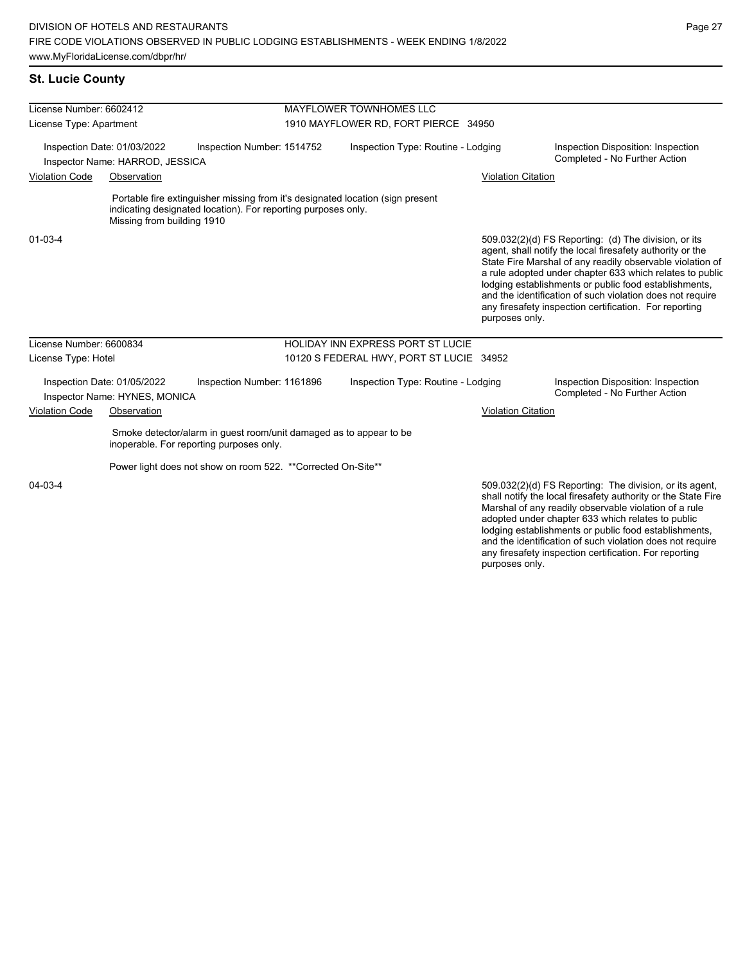## **St. Lucie County**

| License Number: 6602412                                                                                                 |                            |                                                                                                                                                 | MAYFLOWER TOWNHOMES LLC                  |                                          |  |                                                                                                                                                                                                                                                                                                |                                                                                                                                                                                                                                                                                                                                                                                                                            |  |
|-------------------------------------------------------------------------------------------------------------------------|----------------------------|-------------------------------------------------------------------------------------------------------------------------------------------------|------------------------------------------|------------------------------------------|--|------------------------------------------------------------------------------------------------------------------------------------------------------------------------------------------------------------------------------------------------------------------------------------------------|----------------------------------------------------------------------------------------------------------------------------------------------------------------------------------------------------------------------------------------------------------------------------------------------------------------------------------------------------------------------------------------------------------------------------|--|
| License Type: Apartment<br>Inspection Date: 01/03/2022<br>Inspection Number: 1514752<br>Inspector Name: HARROD, JESSICA |                            |                                                                                                                                                 | 1910 MAYFLOWER RD, FORT PIERCE 34950     |                                          |  |                                                                                                                                                                                                                                                                                                |                                                                                                                                                                                                                                                                                                                                                                                                                            |  |
|                                                                                                                         |                            |                                                                                                                                                 |                                          | Inspection Type: Routine - Lodging       |  |                                                                                                                                                                                                                                                                                                | Inspection Disposition: Inspection<br>Completed - No Further Action                                                                                                                                                                                                                                                                                                                                                        |  |
| <b>Violation Code</b>                                                                                                   | Observation                |                                                                                                                                                 |                                          |                                          |  | <b>Violation Citation</b>                                                                                                                                                                                                                                                                      |                                                                                                                                                                                                                                                                                                                                                                                                                            |  |
|                                                                                                                         | Missing from building 1910 | Portable fire extinguisher missing from it's designated location (sign present<br>indicating designated location). For reporting purposes only. |                                          |                                          |  |                                                                                                                                                                                                                                                                                                |                                                                                                                                                                                                                                                                                                                                                                                                                            |  |
| $01 - 03 - 4$                                                                                                           |                            |                                                                                                                                                 |                                          |                                          |  | purposes only.                                                                                                                                                                                                                                                                                 | 509.032(2)(d) FS Reporting: (d) The division, or its<br>agent, shall notify the local firesafety authority or the<br>State Fire Marshal of any readily observable violation of<br>a rule adopted under chapter 633 which relates to public<br>lodging establishments or public food establishments,<br>and the identification of such violation does not require<br>any firesafety inspection certification. For reporting |  |
| License Number: 6600834                                                                                                 |                            |                                                                                                                                                 |                                          | <b>HOLIDAY INN EXPRESS PORT ST LUCIE</b> |  |                                                                                                                                                                                                                                                                                                |                                                                                                                                                                                                                                                                                                                                                                                                                            |  |
| License Type: Hotel                                                                                                     |                            |                                                                                                                                                 | 10120 S FEDERAL HWY, PORT ST LUCIE 34952 |                                          |  |                                                                                                                                                                                                                                                                                                |                                                                                                                                                                                                                                                                                                                                                                                                                            |  |
| Inspection Date: 01/05/2022<br>Inspection Number: 1161896<br>Inspector Name: HYNES, MONICA                              |                            |                                                                                                                                                 | Inspection Type: Routine - Lodging       |                                          |  | Inspection Disposition: Inspection<br>Completed - No Further Action                                                                                                                                                                                                                            |                                                                                                                                                                                                                                                                                                                                                                                                                            |  |
| <b>Violation Code</b><br>Observation                                                                                    |                            |                                                                                                                                                 |                                          |                                          |  | <b>Violation Citation</b>                                                                                                                                                                                                                                                                      |                                                                                                                                                                                                                                                                                                                                                                                                                            |  |
|                                                                                                                         |                            | Smoke detector/alarm in guest room/unit damaged as to appear to be<br>inoperable. For reporting purposes only.                                  |                                          |                                          |  |                                                                                                                                                                                                                                                                                                |                                                                                                                                                                                                                                                                                                                                                                                                                            |  |
|                                                                                                                         |                            | Power light does not show on room 522. ** Corrected On-Site**                                                                                   |                                          |                                          |  |                                                                                                                                                                                                                                                                                                |                                                                                                                                                                                                                                                                                                                                                                                                                            |  |
| 04-03-4                                                                                                                 |                            |                                                                                                                                                 |                                          |                                          |  | 509.032(2)(d) FS Reporting: The division, or its agent,<br>shall notify the local firesafety authority or the State Fire<br>Marshal of any readily observable violation of a rule<br>adopted under chapter 633 which relates to public<br>lodging establishments or public food establishments |                                                                                                                                                                                                                                                                                                                                                                                                                            |  |

lodging establishments or public food establishments, and the identification of such violation does not require

any firesafety inspection certification. For reporting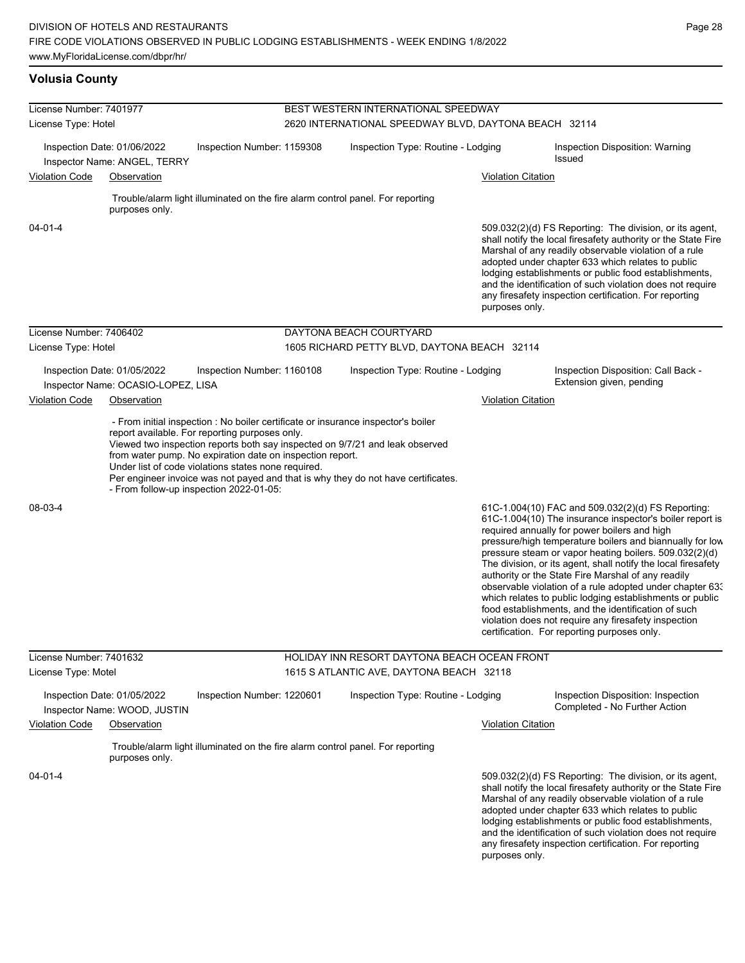# **Volusia County**

| License Number: 7401977<br>License Type: Hotel                                            |                                    |                                                                                                                                                             | BEST WESTERN INTERNATIONAL SPEEDWAY                   |                                                                                                                                                                                                                                                                                                                                                                                                                                          |                           |                                                                                                                                                                                                                                                                                                                                                                                                                                                                                                                                                                                                                                                                                                  |  |  |  |
|-------------------------------------------------------------------------------------------|------------------------------------|-------------------------------------------------------------------------------------------------------------------------------------------------------------|-------------------------------------------------------|------------------------------------------------------------------------------------------------------------------------------------------------------------------------------------------------------------------------------------------------------------------------------------------------------------------------------------------------------------------------------------------------------------------------------------------|---------------------------|--------------------------------------------------------------------------------------------------------------------------------------------------------------------------------------------------------------------------------------------------------------------------------------------------------------------------------------------------------------------------------------------------------------------------------------------------------------------------------------------------------------------------------------------------------------------------------------------------------------------------------------------------------------------------------------------------|--|--|--|
|                                                                                           |                                    |                                                                                                                                                             | 2620 INTERNATIONAL SPEEDWAY BLVD, DAYTONA BEACH 32114 |                                                                                                                                                                                                                                                                                                                                                                                                                                          |                           |                                                                                                                                                                                                                                                                                                                                                                                                                                                                                                                                                                                                                                                                                                  |  |  |  |
| Inspection Date: 01/06/2022<br>Inspection Number: 1159308<br>Inspector Name: ANGEL, TERRY |                                    |                                                                                                                                                             |                                                       | Inspection Type: Routine - Lodging                                                                                                                                                                                                                                                                                                                                                                                                       |                           | Inspection Disposition: Warning<br>Issued                                                                                                                                                                                                                                                                                                                                                                                                                                                                                                                                                                                                                                                        |  |  |  |
| <b>Violation Code</b><br>Observation                                                      |                                    |                                                                                                                                                             |                                                       |                                                                                                                                                                                                                                                                                                                                                                                                                                          | <b>Violation Citation</b> |                                                                                                                                                                                                                                                                                                                                                                                                                                                                                                                                                                                                                                                                                                  |  |  |  |
|                                                                                           |                                    |                                                                                                                                                             |                                                       | Trouble/alarm light illuminated on the fire alarm control panel. For reporting                                                                                                                                                                                                                                                                                                                                                           |                           |                                                                                                                                                                                                                                                                                                                                                                                                                                                                                                                                                                                                                                                                                                  |  |  |  |
|                                                                                           | purposes only.                     |                                                                                                                                                             |                                                       |                                                                                                                                                                                                                                                                                                                                                                                                                                          |                           |                                                                                                                                                                                                                                                                                                                                                                                                                                                                                                                                                                                                                                                                                                  |  |  |  |
| $04 - 01 - 4$                                                                             |                                    |                                                                                                                                                             |                                                       | 509.032(2)(d) FS Reporting: The division, or its agent,<br>shall notify the local firesafety authority or the State Fire<br>Marshal of any readily observable violation of a rule<br>adopted under chapter 633 which relates to public<br>lodging establishments or public food establishments,<br>and the identification of such violation does not require<br>any firesafety inspection certification. For reporting<br>purposes only. |                           |                                                                                                                                                                                                                                                                                                                                                                                                                                                                                                                                                                                                                                                                                                  |  |  |  |
| License Number: 7406402                                                                   |                                    |                                                                                                                                                             |                                                       | DAYTONA BEACH COURTYARD                                                                                                                                                                                                                                                                                                                                                                                                                  |                           |                                                                                                                                                                                                                                                                                                                                                                                                                                                                                                                                                                                                                                                                                                  |  |  |  |
| License Type: Hotel                                                                       |                                    |                                                                                                                                                             |                                                       | 1605 RICHARD PETTY BLVD, DAYTONA BEACH 32114                                                                                                                                                                                                                                                                                                                                                                                             |                           |                                                                                                                                                                                                                                                                                                                                                                                                                                                                                                                                                                                                                                                                                                  |  |  |  |
| Inspection Date: 01/05/2022                                                               | Inspector Name: OCASIO-LOPEZ, LISA | Inspection Number: 1160108                                                                                                                                  |                                                       | Inspection Type: Routine - Lodging                                                                                                                                                                                                                                                                                                                                                                                                       |                           | Inspection Disposition: Call Back -<br>Extension given, pending                                                                                                                                                                                                                                                                                                                                                                                                                                                                                                                                                                                                                                  |  |  |  |
| <b>Violation Code</b>                                                                     | Observation                        |                                                                                                                                                             |                                                       |                                                                                                                                                                                                                                                                                                                                                                                                                                          | <b>Violation Citation</b> |                                                                                                                                                                                                                                                                                                                                                                                                                                                                                                                                                                                                                                                                                                  |  |  |  |
|                                                                                           |                                    | from water pump. No expiration date on inspection report.<br>Under list of code violations states none required.<br>- From follow-up inspection 2022-01-05: |                                                       | Viewed two inspection reports both say inspected on 9/7/21 and leak observed<br>Per engineer invoice was not payed and that is why they do not have certificates.                                                                                                                                                                                                                                                                        |                           |                                                                                                                                                                                                                                                                                                                                                                                                                                                                                                                                                                                                                                                                                                  |  |  |  |
| 08-03-4                                                                                   |                                    |                                                                                                                                                             |                                                       |                                                                                                                                                                                                                                                                                                                                                                                                                                          |                           | 61C-1.004(10) FAC and 509.032(2)(d) FS Reporting:<br>61C-1.004(10) The insurance inspector's boiler report is<br>required annually for power boilers and high<br>pressure/high temperature boilers and biannually for low<br>pressure steam or vapor heating boilers. 509.032(2)(d)<br>The division, or its agent, shall notify the local firesafety<br>authority or the State Fire Marshal of any readily<br>observable violation of a rule adopted under chapter 633<br>which relates to public lodging establishments or public<br>food establishments, and the identification of such<br>violation does not require any firesafety inspection<br>certification. For reporting purposes only. |  |  |  |
| License Number: 7401632                                                                   |                                    |                                                                                                                                                             |                                                       | HOLIDAY INN RESORT DAYTONA BEACH OCEAN FRONT                                                                                                                                                                                                                                                                                                                                                                                             |                           |                                                                                                                                                                                                                                                                                                                                                                                                                                                                                                                                                                                                                                                                                                  |  |  |  |
| License Type: Motel                                                                       |                                    |                                                                                                                                                             |                                                       | 1615 S ATLANTIC AVE, DAYTONA BEACH 32118                                                                                                                                                                                                                                                                                                                                                                                                 |                           |                                                                                                                                                                                                                                                                                                                                                                                                                                                                                                                                                                                                                                                                                                  |  |  |  |
| Inspection Date: 01/05/2022                                                               | Inspector Name: WOOD, JUSTIN       | Inspection Number: 1220601                                                                                                                                  |                                                       | Inspection Type: Routine - Lodging                                                                                                                                                                                                                                                                                                                                                                                                       |                           | Inspection Disposition: Inspection<br>Completed - No Further Action                                                                                                                                                                                                                                                                                                                                                                                                                                                                                                                                                                                                                              |  |  |  |
| <b>Violation Code</b><br>Observation                                                      |                                    |                                                                                                                                                             |                                                       | <b>Violation Citation</b>                                                                                                                                                                                                                                                                                                                                                                                                                |                           |                                                                                                                                                                                                                                                                                                                                                                                                                                                                                                                                                                                                                                                                                                  |  |  |  |
|                                                                                           | purposes only.                     |                                                                                                                                                             |                                                       | Trouble/alarm light illuminated on the fire alarm control panel. For reporting                                                                                                                                                                                                                                                                                                                                                           |                           |                                                                                                                                                                                                                                                                                                                                                                                                                                                                                                                                                                                                                                                                                                  |  |  |  |
| $04 - 01 - 4$                                                                             |                                    |                                                                                                                                                             |                                                       |                                                                                                                                                                                                                                                                                                                                                                                                                                          | purposes only.            | 509.032(2)(d) FS Reporting: The division, or its agent,<br>shall notify the local firesafety authority or the State Fire<br>Marshal of any readily observable violation of a rule<br>adopted under chapter 633 which relates to public<br>lodging establishments or public food establishments,<br>and the identification of such violation does not require<br>any firesafety inspection certification. For reporting                                                                                                                                                                                                                                                                           |  |  |  |